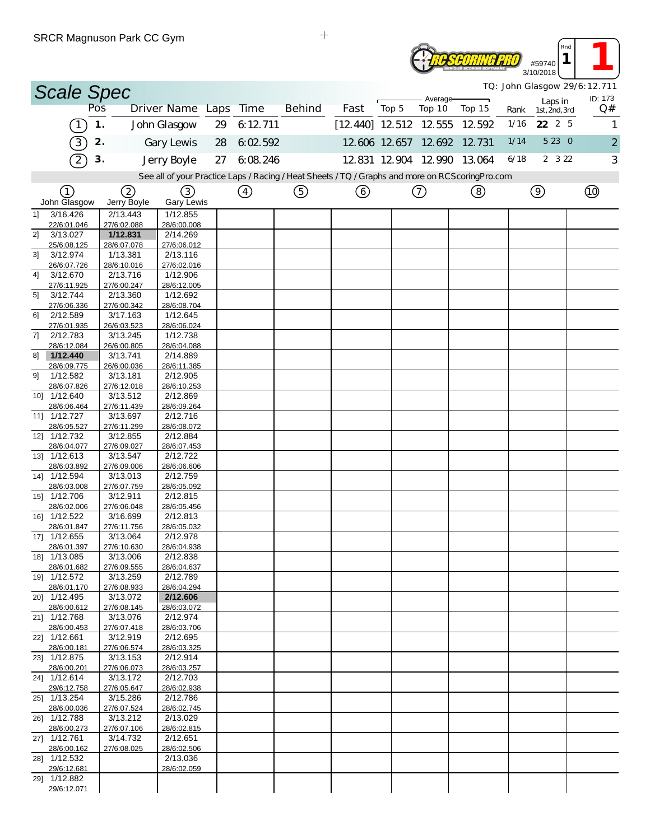|                |                             | SRUR Magnuson Park CU Gym |                         |    |               |                                                                                                 |                           |       |                             |             |      | Rnd                      |                                         |
|----------------|-----------------------------|---------------------------|-------------------------|----|---------------|-------------------------------------------------------------------------------------------------|---------------------------|-------|-----------------------------|-------------|------|--------------------------|-----------------------------------------|
|                |                             |                           |                         |    |               |                                                                                                 |                           |       |                             |             |      | #59740<br>3/10/2018      |                                         |
|                | <b>Scale Spec</b>           |                           |                         |    |               |                                                                                                 |                           |       | Average                     |             |      |                          | TQ: John Glasgow 29/6:12.711<br>ID: 173 |
|                |                             | Pos                       | Driver Name Laps        |    | Time          | <b>Behind</b>                                                                                   | Fast                      | Top 5 | Top 10                      | Top 15      | Rank | Laps in<br>1st, 2nd, 3rd | Q#                                      |
|                | $\overline{1}$              | 1.                        | John Glasgow            | 29 | 6:12.711      |                                                                                                 | $[12, 440]$ 12 512 12 555 |       |                             | 12.592      | 1/16 | 22 2 5                   | $\mathbf{1}$                            |
|                | $\boxed{3}$                 | 2.                        | Gary Lewis              | 28 | 6:02.592      |                                                                                                 |                           |       | 12.606 12.657 12.692        | 12.731      | 1/14 | 5 23 0                   | $\overline{c}$                          |
|                | $\overline{2}$              | 3.                        | Jerry Boyle             | 27 | 6.08.246      |                                                                                                 |                           |       | 12.831 12.904 12.990 13.064 |             | 6/18 | 2 3 2 2                  | 3                                       |
|                |                             |                           |                         |    |               | See all of your Practice Laps / Racing / Heat Sheets / TQ / Graphs and more on RCScoringPro.com |                           |       |                             |             |      |                          |                                         |
|                | (1)                         | (2)                       | (3)                     |    | $\circled{4}$ | ⑤                                                                                               | ⊙                         |       | $\circledcirc$              | $\circledS$ |      | $\circledcirc$           | $^{\circledR}$                          |
|                | John Glasgow                | Jerry Boyle               | <b>Gary Lewis</b>       |    |               |                                                                                                 |                           |       |                             |             |      |                          |                                         |
| 11             | 3/16.426<br>22/6:01.046     | 2/13.443<br>27/6:02.088   | 1/12.855<br>28/6:00.008 |    |               |                                                                                                 |                           |       |                             |             |      |                          |                                         |
| 2]             | 3/13.027                    | 1/12.831                  | 2/14.269                |    |               |                                                                                                 |                           |       |                             |             |      |                          |                                         |
| 3]             | 25/6:08.125<br>3/12.974     | 28/6:07.078<br>1/13.381   | 27/6:06.012<br>2/13.116 |    |               |                                                                                                 |                           |       |                             |             |      |                          |                                         |
|                | 26/6:07.726                 | 28/6:10.016               | 27/6:02.016             |    |               |                                                                                                 |                           |       |                             |             |      |                          |                                         |
| 4]             | 3/12.670<br>27/6:11.925     | 2/13.716<br>27/6:00.247   | 1/12.906<br>28/6:12.005 |    |               |                                                                                                 |                           |       |                             |             |      |                          |                                         |
| 5 <sup>1</sup> | 3/12.744                    | 2/13.360                  | 1/12.692                |    |               |                                                                                                 |                           |       |                             |             |      |                          |                                         |
| 61             | 27/6:06.336<br>2/12.589     | 27/6:00.342<br>3/17.163   | 28/6:08.704<br>1/12.645 |    |               |                                                                                                 |                           |       |                             |             |      |                          |                                         |
|                | 27/6:01.935                 | 26/6:03.523               | 28/6:06.024             |    |               |                                                                                                 |                           |       |                             |             |      |                          |                                         |
| 7]             | 2/12.783<br>28/6:12.084     | 3/13.245<br>26/6:00.805   | 1/12.738<br>28/6:04.088 |    |               |                                                                                                 |                           |       |                             |             |      |                          |                                         |
| 8]             | 1/12.440                    | 3/13.741                  | 2/14.889                |    |               |                                                                                                 |                           |       |                             |             |      |                          |                                         |
| 9]             | 28/6:09.775<br>1/12.582     | 26/6:00.036<br>3/13.181   | 28/6:11.385<br>2/12.905 |    |               |                                                                                                 |                           |       |                             |             |      |                          |                                         |
|                | 28/6:07.826                 | 27/6:12.018               | 28/6:10.253             |    |               |                                                                                                 |                           |       |                             |             |      |                          |                                         |
|                | 10] 1/12.640<br>28/6:06.464 | 3/13.512<br>27/6:11.439   | 2/12.869<br>28/6:09.264 |    |               |                                                                                                 |                           |       |                             |             |      |                          |                                         |
|                | 11] 1/12.727                | 3/13.697                  | 2/12.716                |    |               |                                                                                                 |                           |       |                             |             |      |                          |                                         |
|                | 28/6:05.527<br>12] 1/12.732 | 27/6:11.299<br>3/12.855   | 28/6:08.072<br>2/12.884 |    |               |                                                                                                 |                           |       |                             |             |      |                          |                                         |
|                | 28/6:04.077                 | 27/6:09.027               | 28/6:07.453             |    |               |                                                                                                 |                           |       |                             |             |      |                          |                                         |
|                | 13] 1/12.613<br>28/6:03.892 | 3/13.547<br>27/6:09.006   | 2/12.722<br>28/6:06.606 |    |               |                                                                                                 |                           |       |                             |             |      |                          |                                         |
|                | 14] 1/12.594<br>28/6:03.008 | 3/13.013<br>27/6:07.759   | 2/12.759<br>28/6:05.092 |    |               |                                                                                                 |                           |       |                             |             |      |                          |                                         |
|                | 15] 1/12.706                | 3/12.911                  | 2/12.815                |    |               |                                                                                                 |                           |       |                             |             |      |                          |                                         |
|                | 28/6:02.006<br>16] 1/12.522 | 27/6:06.048<br>3/16.699   | 28/6:05.456<br>2/12.813 |    |               |                                                                                                 |                           |       |                             |             |      |                          |                                         |
|                | 28/6:01.847                 | 27/6:11.756               | 28/6:05.032             |    |               |                                                                                                 |                           |       |                             |             |      |                          |                                         |
|                | 17] 1/12.655<br>28/6:01.397 | 3/13.064<br>27/6:10.630   | 2/12.978<br>28/6:04.938 |    |               |                                                                                                 |                           |       |                             |             |      |                          |                                         |
|                | 18] 1/13.085                | 3/13.006                  | 2/12.838                |    |               |                                                                                                 |                           |       |                             |             |      |                          |                                         |
|                | 28/6:01.682<br>19] 1/12.572 | 27/6:09.555<br>3/13.259   | 28/6:04.637<br>2/12.789 |    |               |                                                                                                 |                           |       |                             |             |      |                          |                                         |
|                | 28/6:01.170                 | 27/6:08.933               | 28/6:04.294             |    |               |                                                                                                 |                           |       |                             |             |      |                          |                                         |
|                | 20] 1/12.495<br>28/6:00.612 | 3/13.072<br>27/6:08.145   | 2/12.606<br>28/6:03.072 |    |               |                                                                                                 |                           |       |                             |             |      |                          |                                         |
|                | 21] 1/12.768                | 3/13.076                  | 2/12.974                |    |               |                                                                                                 |                           |       |                             |             |      |                          |                                         |
|                | 28/6:00.453<br>22] 1/12.661 | 27/6:07.418<br>3/12.919   | 28/6:03.706<br>2/12.695 |    |               |                                                                                                 |                           |       |                             |             |      |                          |                                         |
|                | 28/6:00.181<br>23] 1/12.875 | 27/6:06.574<br>3/13.153   | 28/6:03.325<br>2/12.914 |    |               |                                                                                                 |                           |       |                             |             |      |                          |                                         |
|                | 28/6:00.201                 | 27/6:06.073               | 28/6:03.257             |    |               |                                                                                                 |                           |       |                             |             |      |                          |                                         |
|                | 24] 1/12.614<br>29/6:12.758 | 3/13.172<br>27/6:05.647   | 2/12.703<br>28/6:02.938 |    |               |                                                                                                 |                           |       |                             |             |      |                          |                                         |
|                | 25] 1/13.254                | 3/15.286                  | 2/12.786                |    |               |                                                                                                 |                           |       |                             |             |      |                          |                                         |
|                | 28/6:00.036<br>26] 1/12.788 | 27/6:07.524<br>3/13.212   | 28/6:02.745<br>2/13.029 |    |               |                                                                                                 |                           |       |                             |             |      |                          |                                         |
|                | 28/6:00.273                 | 27/6:07.106               | 28/6:02.815             |    |               |                                                                                                 |                           |       |                             |             |      |                          |                                         |
|                | 27] 1/12.761<br>28/6:00.162 | 3/14.732<br>27/6:08.025   | 2/12.651<br>28/6:02.506 |    |               |                                                                                                 |                           |       |                             |             |      |                          |                                         |
|                | 28] 1/12.532                |                           | 2/13.036                |    |               |                                                                                                 |                           |       |                             |             |      |                          |                                         |
|                | 29/6:12.681<br>29] 1/12.882 |                           | 28/6:02.059             |    |               |                                                                                                 |                           |       |                             |             |      |                          |                                         |
|                | 29/6:12.071                 |                           |                         |    |               |                                                                                                 |                           |       |                             |             |      |                          |                                         |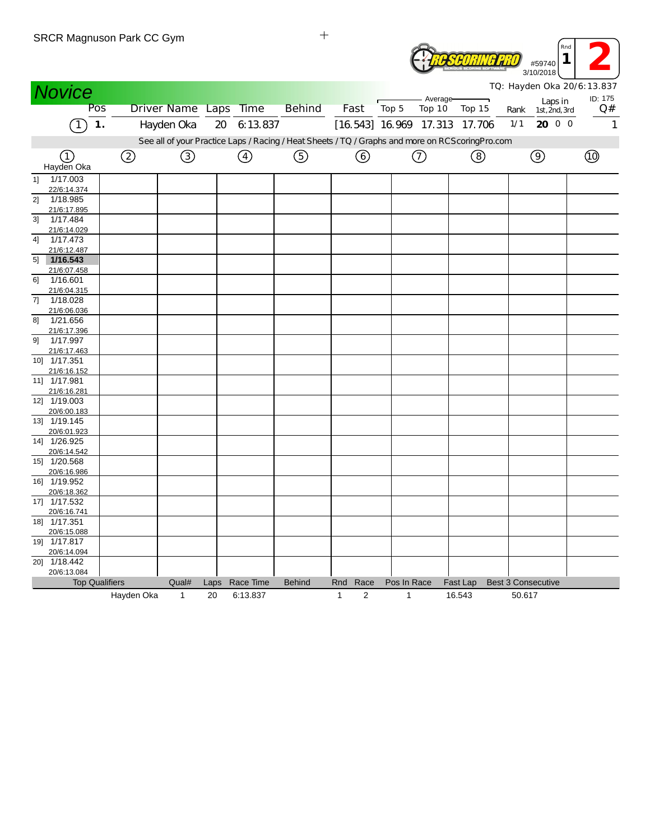| SRUR Magnuson Park CC Gym            |            |                       |      |               |                                                                                                 |              |                  |                               |          | Rnd<br>1<br>#59740          |                |
|--------------------------------------|------------|-----------------------|------|---------------|-------------------------------------------------------------------------------------------------|--------------|------------------|-------------------------------|----------|-----------------------------|----------------|
|                                      |            |                       |      |               |                                                                                                 |              |                  |                               |          | 3/10/2018                   |                |
| <b>Novice</b>                        |            |                       |      |               |                                                                                                 |              |                  |                               |          | TQ: Hayden Oka 20/6: 13.837 |                |
| Pos                                  |            | Driver Name Laps Time |      |               | <b>Behind</b>                                                                                   | Fast         |                  | Average-<br>Top 5<br>Top 10   | Top 15   | Laps in                     | ID: 175<br>Q#  |
|                                      |            |                       |      |               |                                                                                                 |              |                  |                               |          | Rank<br>1st, 2nd, 3rd       |                |
| $\mathbf 1$ .                        |            | Hayden Oka            | 20   | 6:13.837      |                                                                                                 |              |                  | [16.543] 16.969 17.313 17.706 |          | 20 0 0<br>1/1               |                |
|                                      |            |                       |      |               | See all of your Practice Laps / Racing / Heat Sheets / TQ / Graphs and more on RCScoringPro.com |              |                  |                               |          |                             |                |
| (1)                                  | ②          | ③                     |      | $\circled{4}$ | ⑤                                                                                               |              | ⊙                | $^\copyright$                 | ②        | $\circledcirc$              | $\circledcirc$ |
| Hayden Oka                           |            |                       |      |               |                                                                                                 |              |                  |                               |          |                             |                |
| 1/17.003<br>11                       |            |                       |      |               |                                                                                                 |              |                  |                               |          |                             |                |
| 22/6:14.374                          |            |                       |      |               |                                                                                                 |              |                  |                               |          |                             |                |
| 2]<br>1/18.985                       |            |                       |      |               |                                                                                                 |              |                  |                               |          |                             |                |
| 21/6:17.895<br>1/17.484<br>3]        |            |                       |      |               |                                                                                                 |              |                  |                               |          |                             |                |
| 21/6:14.029                          |            |                       |      |               |                                                                                                 |              |                  |                               |          |                             |                |
| 1/17.473<br>4]                       |            |                       |      |               |                                                                                                 |              |                  |                               |          |                             |                |
| 21/6:12.487                          |            |                       |      |               |                                                                                                 |              |                  |                               |          |                             |                |
| 1/16.543<br>5 <sup>1</sup>           |            |                       |      |               |                                                                                                 |              |                  |                               |          |                             |                |
| 21/6:07.458                          |            |                       |      |               |                                                                                                 |              |                  |                               |          |                             |                |
| 1/16.601<br>6]                       |            |                       |      |               |                                                                                                 |              |                  |                               |          |                             |                |
| 21/6:04.315                          |            |                       |      |               |                                                                                                 |              |                  |                               |          |                             |                |
| 1/18.028<br>71<br>21/6:06.036        |            |                       |      |               |                                                                                                 |              |                  |                               |          |                             |                |
| 81<br>1/21.656                       |            |                       |      |               |                                                                                                 |              |                  |                               |          |                             |                |
| 21/6:17.396                          |            |                       |      |               |                                                                                                 |              |                  |                               |          |                             |                |
| 1/17.997<br>91                       |            |                       |      |               |                                                                                                 |              |                  |                               |          |                             |                |
| 21/6:17.463                          |            |                       |      |               |                                                                                                 |              |                  |                               |          |                             |                |
| 10] 1/17.351                         |            |                       |      |               |                                                                                                 |              |                  |                               |          |                             |                |
| 21/6:16.152                          |            |                       |      |               |                                                                                                 |              |                  |                               |          |                             |                |
| 11] 1/17.981                         |            |                       |      |               |                                                                                                 |              |                  |                               |          |                             |                |
| 21/6:16.281<br>12] 1/19.003          |            |                       |      |               |                                                                                                 |              |                  |                               |          |                             |                |
| 20/6:00.183                          |            |                       |      |               |                                                                                                 |              |                  |                               |          |                             |                |
| $13$ ] $1/19.145$                    |            |                       |      |               |                                                                                                 |              |                  |                               |          |                             |                |
| 20/6:01.923                          |            |                       |      |               |                                                                                                 |              |                  |                               |          |                             |                |
| 14] 1/26.925                         |            |                       |      |               |                                                                                                 |              |                  |                               |          |                             |                |
| 20/6:14.542                          |            |                       |      |               |                                                                                                 |              |                  |                               |          |                             |                |
| 15] 1/20.568                         |            |                       |      |               |                                                                                                 |              |                  |                               |          |                             |                |
| 20/6:16.986                          |            |                       |      |               |                                                                                                 |              |                  |                               |          |                             |                |
| 16] 1/19.952<br>20/6:18.362          |            |                       |      |               |                                                                                                 |              |                  |                               |          |                             |                |
| 17] 1/17.532                         |            |                       |      |               |                                                                                                 |              |                  |                               |          |                             |                |
| 20/6:16 741                          |            |                       |      |               |                                                                                                 |              |                  |                               |          |                             |                |
| 18] 1/17.351                         |            |                       |      |               |                                                                                                 |              |                  |                               |          |                             |                |
| 20/6:15.088                          |            |                       |      |               |                                                                                                 |              |                  |                               |          |                             |                |
| 19] 1/17.817                         |            |                       |      |               |                                                                                                 |              |                  |                               |          |                             |                |
| 20/6:14.094                          |            |                       |      |               |                                                                                                 |              |                  |                               |          |                             |                |
| 20] 1/18.442                         |            |                       |      |               |                                                                                                 |              |                  |                               |          |                             |                |
| 20/6:13.084<br><b>Top Qualifiers</b> |            | Qual#                 | Laps | Race Time     | <b>Behind</b>                                                                                   | Rnd Race     |                  | Pos In Race                   | Fast Lap | <b>Best 3 Consecutive</b>   |                |
|                                      | Hayden Oka | 1                     | 20   | 6:13.837      |                                                                                                 | $\mathbf{1}$ | $\boldsymbol{2}$ | $\mathbf{1}$                  | 16.543   | 50.617                      |                |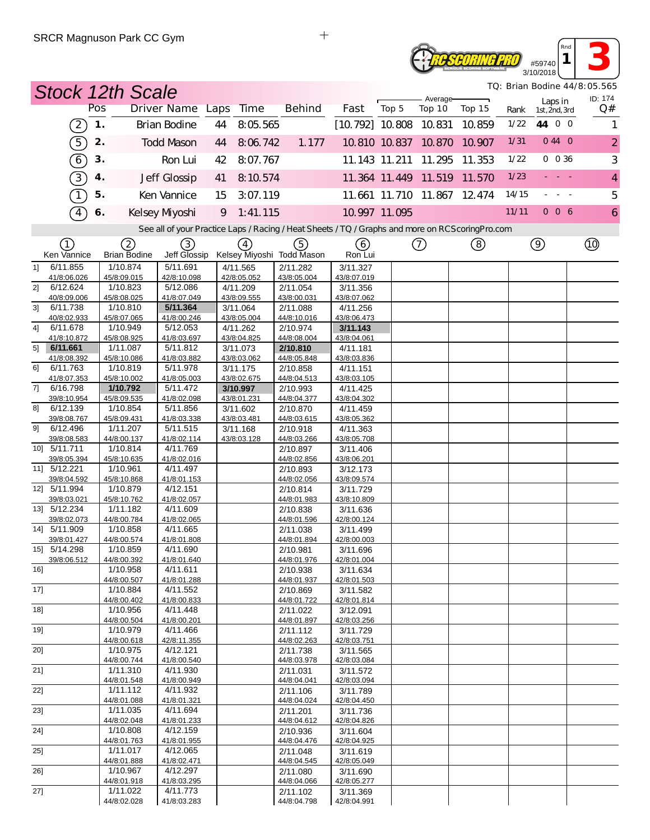#### **ROSCORING PRO** #59740 3/10/2018

*TQ: Brian Bodine 44/8:05.565*

*Rnd* **1 3** 

|                | <b>Stock 12th Scale</b>     |               |                         |                                                                                                   |    |                         |                           |                          |               |                      |                             |       |                          | TQ: Brian Bodine 44/8: 05.565 |
|----------------|-----------------------------|---------------|-------------------------|---------------------------------------------------------------------------------------------------|----|-------------------------|---------------------------|--------------------------|---------------|----------------------|-----------------------------|-------|--------------------------|-------------------------------|
|                |                             | Pos           |                         | Driver Name Laps                                                                                  |    | Time                    | <b>Behind</b>             | Fast                     | Top 5         | Average-<br>Top 10   | Top 15                      | Rank  | Laps in<br>1st, 2nd, 3rd | ID: 174<br>Q#                 |
|                | $\left[2\right]$            | $\mathbf 1$ . |                         | <b>Brian Bodine</b>                                                                               | 44 | 8:05.565                |                           | $[10.792]$ 10.808 10.831 |               |                      | 10.859                      | 1/22  | 44 0 0                   | 1                             |
|                |                             | 2.            |                         | <b>Todd Mason</b>                                                                                 | 44 | 8:06.742                | 1.177                     |                          |               | 10.810 10.837 10.870 | 10.907                      | 1/31  | 044 0                    | $\overline{a}$                |
|                | $\boxed{5}$                 |               |                         |                                                                                                   |    |                         |                           |                          |               |                      |                             |       |                          |                               |
|                | $\left( 6\right)$           | 3.            |                         | Ron Lui                                                                                           | 42 | 8:07.767                |                           |                          | 11.143 11.211 | 11.295               | 11.353                      | 1/22  | $0\ 0\ 36$               | 3                             |
|                | $\boxed{3}$                 | 4.            |                         | Jeff Glossip                                                                                      | 41 | 8:10.574                |                           |                          |               |                      | 11.364 11.449 11.519 11.570 | 1/23  |                          | 4                             |
|                | T                           | 5.            |                         | Ken Vannice                                                                                       | 15 | 3:07.119                |                           |                          |               |                      | 11.661 11.710 11.867 12.474 | 14/15 |                          | 5                             |
|                | $\overline{4}$              | 6.            |                         | Kelsey Myoshi                                                                                     | 9  | 1:41.115                |                           |                          | 10.997 11.095 |                      |                             | 11/11 | 006                      | $\ddot{\mathbf{6}}$           |
|                |                             |               |                         | See all of your Practice Laps / Racing / Heat Sheets / TQ / Graphs and more on RCS coring Pro.com |    |                         |                           |                          |               |                      |                             |       |                          |                               |
|                | ①                           |               | 2                       | ③                                                                                                 |    | $\left(4\right)$        | (5)                       | (6)                      |               | $^\copyright$        | (8)                         |       | $\circledcirc$           |                               |
|                | Ken Vannice                 |               | <b>Brian Bodine</b>     | Jeff Glossip                                                                                      |    |                         | Kelsey Miyoshi Todd Mason | Ron Lui                  |               |                      |                             |       |                          |                               |
| 1              | 6/11.855<br>41/8:06.026     |               | 1/10.874<br>45/8:09.015 | 5/11.691<br>42/8:10.098                                                                           |    | 4/11.565<br>42/8:05.052 | 2/11.282<br>43/8:05.004   | 3/11.327<br>43/8:07.019  |               |                      |                             |       |                          |                               |
| 21             | 6/12.624                    |               | 1/10.823                | $\overline{5/12.086}$                                                                             |    | 4/11.209                | 2/11.054                  | 3/11.356                 |               |                      |                             |       |                          |                               |
|                | 40/8:09.006                 |               | 45/8:08.025             | 41/8:07.049                                                                                       |    | 43/8:09.555             | 43/8:00.031               | 43/8:07.062              |               |                      |                             |       |                          |                               |
| 3 <sup>1</sup> | 6/11.738                    |               | 1/10.810                | 5/11.364                                                                                          |    | 3/11.064                | 2/11.088                  | 4/11.256                 |               |                      |                             |       |                          |                               |
| 41             | 40/8:02.933<br>6/11.678     |               | 45/8:07.065<br>1/10.949 | 41/8:00.246<br>$\overline{5/12.053}$                                                              |    | 43/8:05.004<br>4/11.262 | 44/8:10.016<br>2/10.974   | 43/8:06.473<br>3/11.143  |               |                      |                             |       |                          |                               |
|                | 41/8:10.872                 |               | 45/8:08.925             | 41/8:03.697                                                                                       |    | 43/8:04.825             | 44/8:08.004               | 43/8:04.061              |               |                      |                             |       |                          |                               |
| 5]             | 6/11.661                    |               | 1/11.087                | 5/11.812                                                                                          |    | 3/11.073                | 2/10.810                  | 4/11.181                 |               |                      |                             |       |                          |                               |
|                | 41/8:08.392                 |               | 45/8:10.086             | 41/8:03.882                                                                                       |    | 43/8:03.062             | 44/8:05.848               | 43/8:03.836              |               |                      |                             |       |                          |                               |
| 61             | 6/11.763<br>41/8:07.353     |               | 1/10.819<br>45/8:10.002 | 5/11.978<br>41/8:05.003                                                                           |    | 3/11.175<br>43/8:02.675 | 2/10.858<br>44/8:04.513   | 4/11.151<br>43/8:03.105  |               |                      |                             |       |                          |                               |
| 71             | 6/16.798                    |               | 1/10.792                | 5/11.472                                                                                          |    | 3/10.997                | 2/10.993                  | 4/11.425                 |               |                      |                             |       |                          |                               |
|                | 39/8:10.954                 |               | 45/8:09.535             | 41/8:02.098                                                                                       |    | 43/8:01.231             | 44/8:04.377               | 43/8:04.302              |               |                      |                             |       |                          |                               |
| 8]             | 6/12.139                    |               | 1/10.854                | 5/11.856                                                                                          |    | 3/11.602                | 2/10.870                  | 4/11.459                 |               |                      |                             |       |                          |                               |
|                | 39/8:08.767                 |               | 45/8:09.431             | 41/8:03.338                                                                                       |    | 43/8:03.481             | 44/8:03.615               | 43/8:05.362              |               |                      |                             |       |                          |                               |
| 91             | 6/12.496<br>39/8:08.583     |               | 1/11.207<br>44/8:00.137 | 5/11.515<br>41/8:02.114                                                                           |    | 3/11.168<br>43/8:03.128 | 2/10.918<br>44/8:03.266   | 4/11.363<br>43/8:05.708  |               |                      |                             |       |                          |                               |
|                | 10] 5/11.711                |               | 1/10.814                | 4/11.769                                                                                          |    |                         | 2/10.897                  | 3/11.406                 |               |                      |                             |       |                          |                               |
|                | 39/8:05.394                 |               | 45/8:10.635             | 41/8:02.016                                                                                       |    |                         | 44/8:02.856               | 43/8:06.201              |               |                      |                             |       |                          |                               |
|                | 11] 5/12.221                |               | 1/10.961                | 4/11.497                                                                                          |    |                         | 2/10.893                  | 3/12.173                 |               |                      |                             |       |                          |                               |
|                | 39/8:04.592                 |               | 45/8:10.868             | 41/8:01.153                                                                                       |    |                         | 44/8:02.056               | 43/8:09.574              |               |                      |                             |       |                          |                               |
|                | 12] 5/11.994<br>39/8:03.021 |               | 1/10.879<br>45/8:10.762 | 4/12.151<br>41/8:02.057                                                                           |    |                         | 2/10.814<br>44/8:01.983   | 3/11.729<br>43/8:10.809  |               |                      |                             |       |                          |                               |
|                | 13] 5/12.234                |               | 1/11.182                | 4/11.609                                                                                          |    |                         | 2/10.838                  | 3/11.636                 |               |                      |                             |       |                          |                               |
|                | 39/8:02.073                 |               | 44/8:00.784             | 41/8:02.065                                                                                       |    |                         | 44/8:01.596               | 42/8:00.124              |               |                      |                             |       |                          |                               |
|                | 14] 5/11.909                |               | 1/10.858                | 4/11.665                                                                                          |    |                         | 2/11.038                  | 3/11.499                 |               |                      |                             |       |                          |                               |
|                | 39/8:01.427<br>15] 5/14.298 |               | 44/8:00.574<br>1/10.859 | 41/8:01.808<br>4/11.690                                                                           |    |                         | 44/8:01.894<br>2/10.981   | 42/8:00.003<br>3/11.696  |               |                      |                             |       |                          |                               |
|                | 39/8:06.512                 |               | 44/8:00.392             | 41/8:01.640                                                                                       |    |                         | 44/8:01.976               | 42/8:01.004              |               |                      |                             |       |                          |                               |
| 16]            |                             |               | 1/10.958                | 4/11.611                                                                                          |    |                         | 2/10.938                  | 3/11.634                 |               |                      |                             |       |                          |                               |
|                |                             |               | 44/8:00.507             | 41/8:01.288                                                                                       |    |                         | 44/8:01.937               | 42/8:01.503              |               |                      |                             |       |                          |                               |
| 17]            |                             |               | 1/10.884<br>44/8:00.402 | 4/11.552<br>41/8:00.833                                                                           |    |                         | 2/10.869<br>44/8:01.722   | 3/11.582<br>42/8:01.814  |               |                      |                             |       |                          |                               |
| 18]            |                             |               | 1/10.956                | 4/11.448                                                                                          |    |                         | 2/11.022                  | 3/12.091                 |               |                      |                             |       |                          |                               |
|                |                             |               | 44/8:00.504             | 41/8:00.201                                                                                       |    |                         | 44/8:01.897               | 42/8:03.256              |               |                      |                             |       |                          |                               |
| 19]            |                             |               | 1/10.979                | 4/11.466                                                                                          |    |                         | 2/11.112                  | 3/11.729                 |               |                      |                             |       |                          |                               |
| 20]            |                             |               | 44/8:00.618<br>1/10.975 | 42/8:11.355<br>4/12.121                                                                           |    |                         | 44/8:02.263               | 42/8:03.751              |               |                      |                             |       |                          |                               |
|                |                             |               | 44/8:00.744             | 41/8:00.540                                                                                       |    |                         | 2/11.738<br>44/8:03.978   | 3/11.565<br>42/8:03.084  |               |                      |                             |       |                          |                               |
| 21]            |                             |               | 1/11.310                | 4/11.930                                                                                          |    |                         | 2/11.031                  | 3/11.572                 |               |                      |                             |       |                          |                               |
|                |                             |               | 44/8:01.548             | 41/8:00.949                                                                                       |    |                         | 44/8:04.041               | 42/8:03.094              |               |                      |                             |       |                          |                               |
| 22]            |                             |               | 1/11.112                | 4/11.932                                                                                          |    |                         | 2/11.106                  | 3/11.789                 |               |                      |                             |       |                          |                               |
| 23]            |                             |               | 44/8:01.088<br>1/11.035 | 41/8:01.321<br>4/11.694                                                                           |    |                         | 44/8:04.024<br>2/11.201   | 42/8:04.450<br>3/11.736  |               |                      |                             |       |                          |                               |
|                |                             |               | 44/8:02.048             | 41/8:01.233                                                                                       |    |                         | 44/8:04.612               | 42/8:04.826              |               |                      |                             |       |                          |                               |
| 24]            |                             |               | 1/10.808                | 4/12.159                                                                                          |    |                         | 2/10.936                  | 3/11.604                 |               |                      |                             |       |                          |                               |
|                |                             |               | 44/8:01.763             | 41/8:01.955                                                                                       |    |                         | 44/8:04.476               | 42/8:04.925              |               |                      |                             |       |                          |                               |
| $25$ ]         |                             |               | 1/11.017<br>44/8:01.888 | 4/12.065<br>41/8:02.471                                                                           |    |                         | 2/11.048<br>44/8:04.545   | 3/11.619<br>42/8:05.049  |               |                      |                             |       |                          |                               |
| 26]            |                             |               | 1/10.967                | 4/12.297                                                                                          |    |                         | 2/11.080                  | 3/11.690                 |               |                      |                             |       |                          |                               |
|                |                             |               | 44/8:01.918             | 41/8:03.295                                                                                       |    |                         | 44/8:04.066               | 42/8:05.277              |               |                      |                             |       |                          |                               |
| 27]            |                             |               | 1/11.022                | 4/11.773                                                                                          |    |                         | 2/11.102                  | 3/11.369                 |               |                      |                             |       |                          |                               |
|                |                             |               | 44/8:02.028             | 41/8:03.283                                                                                       |    |                         | 44/8:04.798               | 42/8:04.991              |               |                      |                             |       |                          |                               |

 $\qquad \qquad +$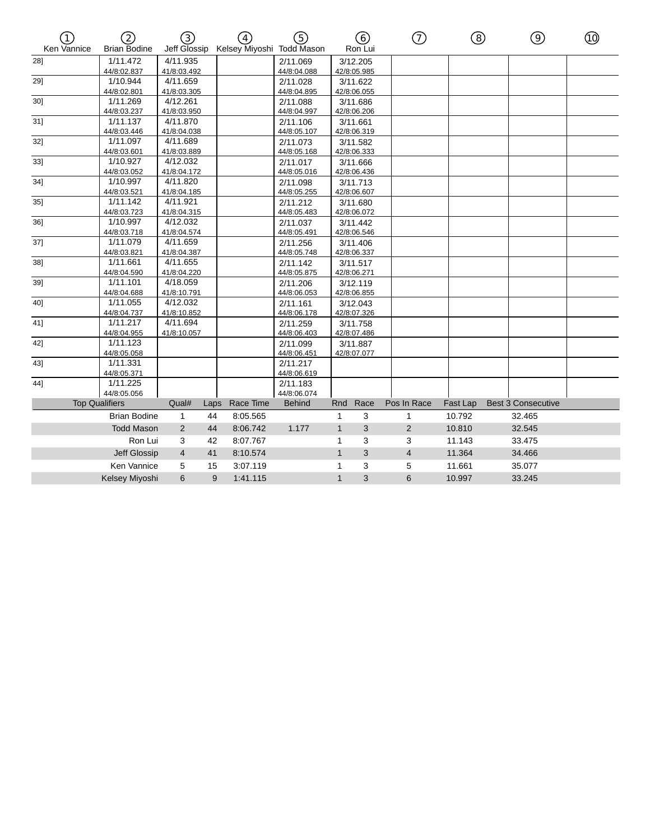| T<br>Ken Vannice             | 2<br><b>Brian Bodine</b> | ③<br>Jeff Glossip       |          | $\left(\overline{4}\right)$<br>Kelsey Miyoshi Todd Mason | ⑤                                        |              | 6<br>Ron Lui            | <u>(7)</u>  | ⑧        | ⊚                         | ⑩ |
|------------------------------|--------------------------|-------------------------|----------|----------------------------------------------------------|------------------------------------------|--------------|-------------------------|-------------|----------|---------------------------|---|
| 28]                          | 1/11.472<br>44/8:02.837  | 4/11.935<br>41/8:03.492 |          |                                                          | 2/11.069<br>44/8:04.088                  |              | 3/12.205<br>42/8:05.985 |             |          |                           |   |
| 29]                          | 1/10.944<br>44/8:02.801  | 4/11.659<br>41/8:03.305 |          |                                                          | 2/11.028<br>44/8:04.895                  |              | 3/11.622<br>42/8:06.055 |             |          |                           |   |
| 30]                          | 1/11.269<br>44/8:03.237  | 4/12.261<br>41/8:03.950 |          |                                                          | 2/11.088<br>44/8:04.997                  |              | 3/11.686<br>42/8:06.206 |             |          |                           |   |
| 31]                          | 1/11.137<br>44/8:03.446  | 4/11.870<br>41/8:04.038 |          |                                                          | 2/11.106<br>44/8:05.107                  |              | 3/11.661<br>42/8:06.319 |             |          |                           |   |
| 32]                          | 1/11.097<br>44/8:03.601  | 4/11.689<br>41/8:03.889 |          |                                                          | 2/11.073<br>44/8:05.168                  |              | 3/11.582<br>42/8:06.333 |             |          |                           |   |
| 33]                          | 1/10.927<br>44/8:03.052  | 4/12.032<br>41/8:04.172 |          |                                                          | 2/11.017<br>44/8:05.016                  |              | 3/11.666<br>42/8:06.436 |             |          |                           |   |
| 34]                          | 1/10.997<br>44/8:03.521  | 4/11.820<br>41/8:04.185 |          |                                                          | 2/11.098<br>44/8:05.255                  |              | 3/11.713<br>42/8:06.607 |             |          |                           |   |
| 35]                          | 1/11.142<br>44/8:03.723  | 4/11.921<br>41/8:04.315 |          |                                                          | 2/11.212<br>44/8:05.483                  |              | 3/11.680<br>42/8:06.072 |             |          |                           |   |
| 36]                          | 1/10.997<br>44/8:03.718  | 4/12.032<br>41/8:04.574 |          |                                                          | 2/11.037<br>44/8:05.491                  |              | 3/11.442<br>42/8:06.546 |             |          |                           |   |
| 37]                          | 1/11.079<br>44/8:03.821  | 4/11.659<br>41/8:04.387 |          |                                                          | 2/11.256<br>44/8:05.748                  |              | 3/11.406<br>42/8:06.337 |             |          |                           |   |
| 38]                          | 1/11.661<br>44/8:04.590  | 4/11.655<br>41/8:04.220 |          |                                                          | 2/11.142<br>44/8:05.875                  |              | 3/11.517<br>42/8:06.271 |             |          |                           |   |
| 39]                          | 1/11.101<br>44/8:04.688  | 4/18.059<br>41/8:10.791 |          |                                                          | 2/11.206<br>44/8:06.053                  |              | 3/12.119<br>42/8:06.855 |             |          |                           |   |
| 40]                          | 1/11.055<br>44/8:04.737  | 4/12.032<br>41/8:10.852 |          |                                                          | 2/11.161<br>44/8:06.178                  |              | 3/12.043<br>42/8:07.326 |             |          |                           |   |
| 41]                          | 1/11.217<br>44/8:04.955  | 4/11.694<br>41/8:10.057 |          |                                                          | 2/11.259<br>44/8:06.403                  |              | 3/11.758<br>42/8:07.486 |             |          |                           |   |
| 42]                          | 1/11.123<br>44/8:05.058  |                         |          |                                                          | 2/11.099<br>44/8:06.451                  |              | 3/11.887<br>42/8:07.077 |             |          |                           |   |
| 43]                          | 1/11.331<br>44/8:05.371  |                         |          |                                                          | 2/11.217<br>44/8:06.619                  |              |                         |             |          |                           |   |
| 44]<br><b>Top Qualifiers</b> | 1/11.225<br>44/8:05.056  | Qual#                   | Laps     | Race Time                                                | 2/11.183<br>44/8:06.074<br><b>Behind</b> | Rnd          | Race                    | Pos In Race | Fast Lap | <b>Best 3 Consecutive</b> |   |
|                              | <b>Brian Bodine</b>      |                         |          | 8:05.565                                                 |                                          | $\mathbf{1}$ |                         |             | 10.792   |                           |   |
|                              | <b>Todd Mason</b>        | 1<br>$\overline{2}$     | 44<br>44 | 8:06.742                                                 | 1.177                                    | $\mathbf{1}$ | 3<br>3                  | 1<br>2      | 10.810   | 32.465<br>32.545          |   |
|                              | Ron Lui                  | 3                       | 42       | 8:07.767                                                 |                                          | 1            | 3                       | 3           | 11.143   | 33.475                    |   |
|                              | Jeff Glossip             | 4                       | 41       | 8:10.574                                                 |                                          | $\mathbf{1}$ | 3                       | 4           | 11.364   | 34.466                    |   |
|                              | Ken Vannice              | 5                       | 15       | 3:07.119                                                 |                                          | 1            | 3                       | 5           | 11.661   | 35.077                    |   |
|                              | Kelsey Miyoshi           | 6                       | 9        | 1:41.115                                                 |                                          | $\mathbf{1}$ | 3                       | 6           | 10.997   | 33.245                    |   |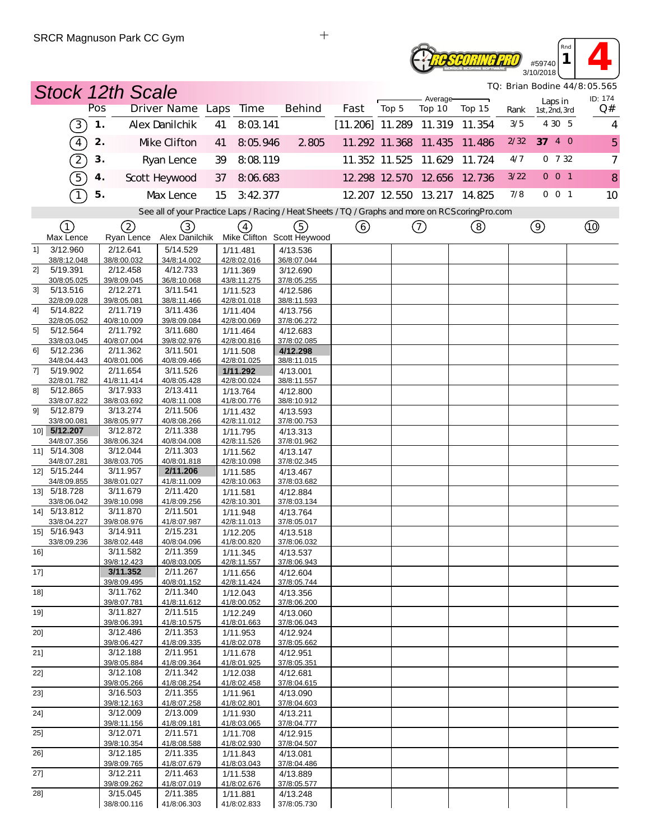#### **Resedeing Pro** #59740 3/10/2018

*TQ: Brian Bodine 44/8:05.565*

*Rnd*  $\begin{array}{|c|c|c|}\n\hline\n\text{and} & \text{if} & \text{if} & \text{if} & \text{if} & \text{if} & \text{if} & \text{if} & \text{if} & \text{if} & \text{if} & \text{if} & \text{if} & \text{if} & \text{if} & \text{if} & \text{if} & \text{if} & \text{if} & \text{if} & \text{if} & \text{if} & \text{if} & \text{if} & \text{if} & \text{if} & \text{if} & \text{if} & \text{if} & \text{if} & \text{if} & \text{if} & \text{if} & \text{if$ 

|        |                             |     | <b>Stock 12th Scale</b> |                         |    |                         |                                                                                                  |                                 |                             |                    |        |      |                          | TQ: Brian Bodine 44/8:05.565 |
|--------|-----------------------------|-----|-------------------------|-------------------------|----|-------------------------|--------------------------------------------------------------------------------------------------|---------------------------------|-----------------------------|--------------------|--------|------|--------------------------|------------------------------|
|        |                             | Pos |                         | Driver Name Laps Time   |    |                         | <b>Behind</b>                                                                                    | Fast                            | Top 5                       | Average-<br>Top 10 | Top 15 | Rank | Laps in<br>1st, 2nd, 3rd | ID: 174<br>Q#                |
|        | (3)                         | 1.  |                         | Alex Danilchik          | 41 | 8:03.141                |                                                                                                  | $[11.206]$ 11.289 11.319 11.354 |                             |                    |        | 3/5  | 4 3 0 5                  | 4                            |
|        | $\binom{4}{}$               | 2.  |                         | Mke Clifton             | 41 | 8:05.946                | 2805                                                                                             |                                 | 11.292 11.368 11.435        |                    | 11.486 | 2/32 | 37 4 0                   | 5                            |
|        | $\left( 2\right)$           | 3.  |                         | Ryan Lence              | 39 | 8:08.119                |                                                                                                  |                                 | 11.352 11.525 11.629        |                    | 11.724 | 4/7  | $0 \t 7 \t 32$           | $\overline{7}$               |
|        | $\binom{5}{ }$              | 4.  |                         | Scott Heywood           | 37 | 8:06.683                |                                                                                                  |                                 | 12 298 12 570 12 656 12 736 |                    |        | 3/22 | $0$ 0 1                  | 8                            |
|        | $\lceil$                    | 5.  |                         | Max Lence               | 15 | 3:42.377                |                                                                                                  |                                 | 12.207 12.550 13.217 14.825 |                    |        | 7/8  | 001                      | 10                           |
|        |                             |     |                         |                         |    |                         | See all of your Practice Laps / Racing / Heat Sheets / TQ / Graphs and more on RCScoring Pro.com |                                 |                             |                    |        |      |                          |                              |
|        | ①<br>Max Lence              |     | (2)<br>Ryan Lence       | (3)<br>Alex Danilchik   |    | $\left(4\right)$        | (5)<br>Mike Clifton Scott Heywood                                                                | ⊙                               |                             | $^\copyright$      | ③      |      | $\circledcirc$           |                              |
| 11     | 3/12.960<br>38/8:12.048     |     | 2/12.641<br>38/8:00.032 | 5/14.529<br>34/8:14.002 |    | 1/11.481<br>42/8:02.016 | 4/13.536<br>36/8:07.044                                                                          |                                 |                             |                    |        |      |                          |                              |
| 2]     | 5/19.391                    |     | 2/12.458                | 4/12.733                |    | 1/11.369                | 3/12.690                                                                                         |                                 |                             |                    |        |      |                          |                              |
| 31     | 30/8:05.025<br>5/13.516     |     | 39/8:09.045<br>2/12.271 | 36/8:10.068<br>3/11.541 |    | 43/8:11.275<br>1/11.523 | 37/8:05.255<br>4/12.586                                                                          |                                 |                             |                    |        |      |                          |                              |
|        | 32/8:09.028                 |     | 39/8:05.081             | 38/8:11.466             |    | 42/8:01.018             | 38/8:11.593                                                                                      |                                 |                             |                    |        |      |                          |                              |
| 4]     | 5/14.822                    |     | 2/11.719                | 3/11.436                |    | 1/11.404                | 4/13.756                                                                                         |                                 |                             |                    |        |      |                          |                              |
|        | 32/8:05.052                 |     | 40/8:10.009             | 39/8:09.084             |    | 42/8:00.069             | 37/8:06.272                                                                                      |                                 |                             |                    |        |      |                          |                              |
| 51     | 5/12.564<br>33/8:03.045     |     | 2/11.792<br>40/8:07.004 | 3/11.680<br>39/8:02.976 |    | 1/11.464<br>42/8:00.816 | 4/12.683<br>37/8:02.085                                                                          |                                 |                             |                    |        |      |                          |                              |
| 61     | 5/12.236                    |     | 2/11.362                | 3/11.501                |    | 1/11.508                | 4/12.298                                                                                         |                                 |                             |                    |        |      |                          |                              |
|        | 34/8:04.443                 |     | 40/8:01.006             | 40/8:09.466             |    | 42/8:01.025             | 38/8:11.015                                                                                      |                                 |                             |                    |        |      |                          |                              |
| 7]     | 5/19.902<br>32/8:01.782     |     | 2/11.654<br>41/8:11.414 | 3/11.526<br>40/8:05.428 |    | 1/11.292<br>42/8:00.024 | 4/13.001<br>38/8:11.557                                                                          |                                 |                             |                    |        |      |                          |                              |
| 81     | 5/12.865                    |     | 3/17.933                | 2/13.411                |    | 1/13.764                | 4/12.800                                                                                         |                                 |                             |                    |        |      |                          |                              |
|        | 33/8:07.822                 |     | 38/8:03.692             | 40/8:11.008             |    | 41/8:00.776             | 38/8:10.912                                                                                      |                                 |                             |                    |        |      |                          |                              |
| 91     | 5/12.879                    |     | 3/13.274                | 2/11.506                |    | 1/11.432                | 4/13.593                                                                                         |                                 |                             |                    |        |      |                          |                              |
|        | 33/8:00.081<br>10] 5/12.207 |     | 38/8:05.977<br>3/12.872 | 40/8:08.266<br>2/11.338 |    | 42/8:11.012<br>1/11.795 | 37/8:00.753                                                                                      |                                 |                             |                    |        |      |                          |                              |
|        | 34/8:07.356                 |     | 38/8:06.324             | 40/8:04.008             |    | 42/8:11.526             | 4/13.313<br>37/8:01.962                                                                          |                                 |                             |                    |        |      |                          |                              |
|        | 11] 5/14.308                |     | 3/12.044                | 2/11.303                |    | 1/11.562                | 4/13.147                                                                                         |                                 |                             |                    |        |      |                          |                              |
|        | 34/8:07.281                 |     | 38/8:03.705             | 40/8:01.818             |    | 42/8:10.098             | 37/8:02.345                                                                                      |                                 |                             |                    |        |      |                          |                              |
|        | 12] 5/15.244                |     | 3/11.957                | 2/11.206                |    | 1/11.585                | 4/13.467                                                                                         |                                 |                             |                    |        |      |                          |                              |
|        | 34/8:09.855<br>13] 5/18.728 |     | 38/8:01.027<br>3/11.679 | 41/8:11.009<br>2/11.420 |    | 42/8:10.063<br>1/11.581 | 37/8:03.682<br>4/12.884                                                                          |                                 |                             |                    |        |      |                          |                              |
|        | 33/8:06.042                 |     | 39/8:10.098             | 41/8:09.256             |    | 42/8:10.301             | 37/8:03.134                                                                                      |                                 |                             |                    |        |      |                          |                              |
|        | 14] 5/13.812                |     | 3/11.870                | 2/11.501                |    | 1/11.948                | 4/13.764                                                                                         |                                 |                             |                    |        |      |                          |                              |
|        | 33/8:04.227                 |     | 39/8:08.976             | 41/8:07.987             |    | 42/8:11.013             | 37/8:05.017                                                                                      |                                 |                             |                    |        |      |                          |                              |
|        | 15] 5/16.943<br>33/8:09.236 |     | 3/14.911<br>38/8:02.448 | 2/15.231<br>40/8:04.096 |    | 1/12.205<br>41/8:00.820 | 4/13.518<br>37/8:06.032                                                                          |                                 |                             |                    |        |      |                          |                              |
| $16$ ] |                             |     | 3/11.582                | 2/11.359                |    | 1/11.345                | 4/13.537                                                                                         |                                 |                             |                    |        |      |                          |                              |
|        |                             |     | 39/8:12.423             | 40/8:03.005             |    | 42/8:11.557             | 37/8:06.943                                                                                      |                                 |                             |                    |        |      |                          |                              |
| 17]    |                             |     | 3/11.352                | 2/11.267                |    | 1/11.656                | 4/12.604                                                                                         |                                 |                             |                    |        |      |                          |                              |
| 18]    |                             |     | 39/8:09.495<br>3/11.762 | 40/8:01.152<br>2/11.340 |    | 42/8:11.424<br>1/12.043 | 37/8:05.744<br>4/13.356                                                                          |                                 |                             |                    |        |      |                          |                              |
|        |                             |     | 39/8:07.781             | 41/8:11.612             |    | 41/8:00.052             | 37/8:06.200                                                                                      |                                 |                             |                    |        |      |                          |                              |
| 19]    |                             |     | 3/11.827                | 2/11.515                |    | 1/12.249                | 4/13.060                                                                                         |                                 |                             |                    |        |      |                          |                              |
|        |                             |     | 39/8:06.391             | 41/8:10.575<br>2/11.353 |    | 41/8:01.663             | 37/8:06.043                                                                                      |                                 |                             |                    |        |      |                          |                              |
| 20]    |                             |     | 3/12.486<br>39/8:06.427 | 41/8:09.335             |    | 1/11.953<br>41/8:02.078 | 4/12.924<br>37/8:05.662                                                                          |                                 |                             |                    |        |      |                          |                              |
| 21]    |                             |     | 3/12.188                | 2/11.951                |    | 1/11.678                | 4/12.951                                                                                         |                                 |                             |                    |        |      |                          |                              |
|        |                             |     | 39/8:05.884             | 41/8:09.364             |    | 41/8:01.925             | 37/8:05.351                                                                                      |                                 |                             |                    |        |      |                          |                              |
| 22]    |                             |     | 3/12.108                | 2/11.342                |    | 1/12.038                | 4/12.681                                                                                         |                                 |                             |                    |        |      |                          |                              |
| 23]    |                             |     | 39/8:05.266<br>3/16.503 | 41/8:08.254<br>2/11.355 |    | 41/8:02.458<br>1/11.961 | 37/8:04.615<br>4/13.090                                                                          |                                 |                             |                    |        |      |                          |                              |
|        |                             |     | 39/8:12.163             | 41/8:07.258             |    | 41/8:02.801             | 37/8:04.603                                                                                      |                                 |                             |                    |        |      |                          |                              |
| 24]    |                             |     | 3/12.009                | 2/13.009                |    | 1/11.930                | 4/13.211                                                                                         |                                 |                             |                    |        |      |                          |                              |
|        |                             |     | 39/8:11.156             | 41/8:09.181             |    | 41/8:03.065             | 37/8:04.777                                                                                      |                                 |                             |                    |        |      |                          |                              |
| $25$ ] |                             |     | 3/12.071<br>39/8:10.354 | 2/11.571<br>41/8:08.588 |    | 1/11.708<br>41/8:02.930 | 4/12.915<br>37/8:04.507                                                                          |                                 |                             |                    |        |      |                          |                              |
| 26]    |                             |     | 3/12.185                | 2/11.335                |    | 1/11.843                | 4/13.081                                                                                         |                                 |                             |                    |        |      |                          |                              |
|        |                             |     | 39/8:09.765             | 41/8:07.679             |    | 41/8:03.043             | 37/8:04.486                                                                                      |                                 |                             |                    |        |      |                          |                              |
| 27]    |                             |     | 3/12.211<br>39/8:09.262 | 2/11.463<br>41/8:07.019 |    | 1/11.538<br>41/8:02.676 | 4/13.889                                                                                         |                                 |                             |                    |        |      |                          |                              |
| 28]    |                             |     | 3/15.045                | 2/11.385                |    | 1/11.881                | 37/8:05.577<br>4/13.248                                                                          |                                 |                             |                    |        |      |                          |                              |
|        |                             |     | 38/8:00.116             | 41/8:06.303             |    | 41/8:02.833             | 37/8:05.730                                                                                      |                                 |                             |                    |        |      |                          |                              |

 $+$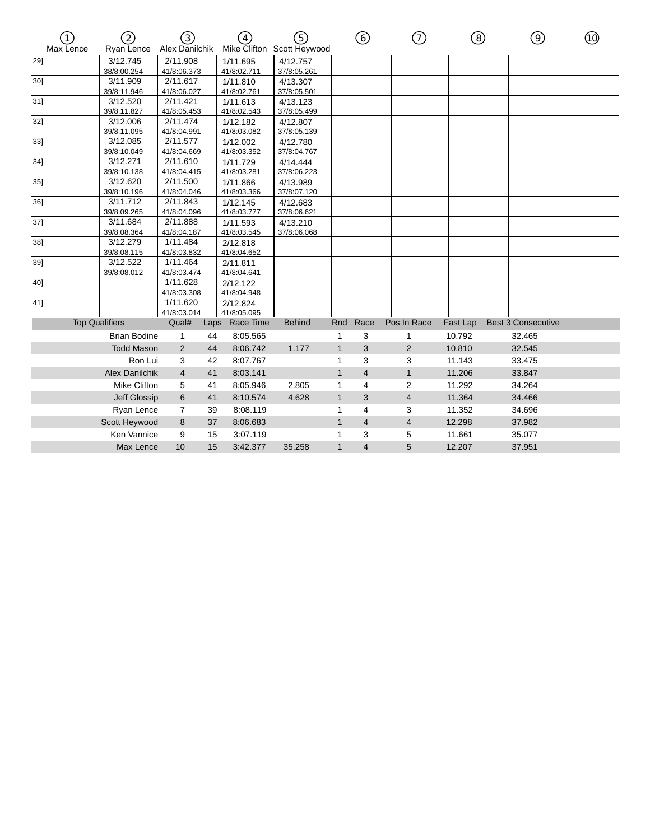| ัา`<br>Max Lence | 2)<br>Ryan Lence        | ි)<br>Alex Danilchik    |      | $\widehat{4}$           | <u> (5)</u><br>Mike Clifton Scott Heywood |              | ⓒ              | ⑦              | ⑧        | ⊚                         | ⑩ |
|------------------|-------------------------|-------------------------|------|-------------------------|-------------------------------------------|--------------|----------------|----------------|----------|---------------------------|---|
| 29]              | 3/12.745                | 2/11.908                |      | 1/11.695                | 4/12.757                                  |              |                |                |          |                           |   |
|                  | 38/8:00.254             | 41/8:06.373             |      | 41/8:02.711             | 37/8:05.261                               |              |                |                |          |                           |   |
| 30]              | 3/11.909                | 2/11.617                |      | 1/11.810                | 4/13.307                                  |              |                |                |          |                           |   |
|                  | 39/8:11.946             | 41/8:06.027             |      | 41/8:02.761             | 37/8:05.501                               |              |                |                |          |                           |   |
| 31]              | 3/12.520<br>39/8:11.827 | 2/11.421                |      | 1/11.613                | 4/13.123                                  |              |                |                |          |                           |   |
| 32]              | 3/12.006                | 41/8:05.453<br>2/11.474 |      | 41/8:02.543             | 37/8:05.499                               |              |                |                |          |                           |   |
|                  | 39/8:11.095             | 41/8:04.991             |      | 1/12.182<br>41/8:03.082 | 4/12.807<br>37/8:05.139                   |              |                |                |          |                           |   |
| 33]              | 3/12.085                | 2/11.577                |      | 1/12.002                | 4/12.780                                  |              |                |                |          |                           |   |
|                  | 39/8:10.049             | 41/8:04.669             |      | 41/8:03.352             | 37/8:04.767                               |              |                |                |          |                           |   |
| 34]              | 3/12.271                | 2/11.610                |      | 1/11.729                | 4/14.444                                  |              |                |                |          |                           |   |
|                  | 39/8:10.138             | 41/8:04.415             |      | 41/8:03.281             | 37/8:06.223                               |              |                |                |          |                           |   |
| $35$ ]           | 3/12.620                | 2/11.500                |      | 1/11.866                | 4/13.989                                  |              |                |                |          |                           |   |
|                  | 39/8:10.196             | 41/8:04.046             |      | 41/8:03.366             | 37/8:07.120                               |              |                |                |          |                           |   |
| 36]              | 3/11.712                | 2/11.843                |      | 1/12.145                | 4/12.683                                  |              |                |                |          |                           |   |
|                  | 39/8:09.265             | 41/8:04.096             |      | 41/8:03.777             | 37/8:06.621                               |              |                |                |          |                           |   |
| 37]              | 3/11.684                | 2/11.888                |      | 1/11.593                | 4/13.210                                  |              |                |                |          |                           |   |
|                  | 39/8:08.364             | 41/8:04.187             |      | 41/8:03.545             | 37/8:06.068                               |              |                |                |          |                           |   |
| 38]              | 3/12.279                | 1/11.484                |      | 2/12.818                |                                           |              |                |                |          |                           |   |
|                  | 39/8:08.115             | 41/8:03.832             |      | 41/8:04.652             |                                           |              |                |                |          |                           |   |
| 39]              | 3/12.522                | 1/11.464                |      | 2/11.811                |                                           |              |                |                |          |                           |   |
|                  | 39/8:08.012             | 41/8:03.474             |      | 41/8:04.641             |                                           |              |                |                |          |                           |   |
| 40]              |                         | 1/11.628                |      | 2/12.122                |                                           |              |                |                |          |                           |   |
|                  |                         | 41/8:03.308<br>1/11.620 |      | 41/8:04.948             |                                           |              |                |                |          |                           |   |
| 41]              |                         | 41/8:03.014             |      | 2/12.824<br>41/8:05.095 |                                           |              |                |                |          |                           |   |
|                  | <b>Top Qualifiers</b>   | Qual#                   | Laps | Race Time               | <b>Behind</b>                             | Rnd          | Race           | Pos In Race    | Fast Lap | <b>Best 3 Consecutive</b> |   |
|                  | <b>Brian Bodine</b>     | 1                       | 44   | 8:05.565                |                                           | 1            | 3              | 1              | 10.792   | 32.465                    |   |
|                  | <b>Todd Mason</b>       | 2                       | 44   | 8:06.742                | 1.177                                     | $\mathbf{1}$ | 3              | $\overline{2}$ | 10.810   | 32.545                    |   |
|                  | Ron Lui                 | 3                       | 42   | 8:07.767                |                                           | 1            | 3              | 3              | 11.143   | 33.475                    |   |
|                  |                         | $\overline{4}$          |      |                         |                                           | $\mathbf{1}$ | $\overline{4}$ |                |          |                           |   |
|                  | <b>Alex Danilchik</b>   |                         | 41   | 8:03.141                |                                           |              |                | $\mathbf{1}$   | 11.206   | 33.847                    |   |
|                  | <b>Mike Clifton</b>     | 5                       | 41   | 8:05.946                | 2.805                                     | 1            | $\overline{4}$ | 2              | 11.292   | 34.264                    |   |
|                  | Jeff Glossip            | 6                       | 41   | 8:10.574                | 4.628                                     | $\mathbf{1}$ | 3              | 4              | 11.364   | 34.466                    |   |
|                  | Ryan Lence              | $\overline{7}$          | 39   | 8:08.119                |                                           | 1            | 4              | 3              | 11.352   | 34.696                    |   |
|                  | Scott Heywood           | 8                       | 37   | 8:06.683                |                                           | $\mathbf{1}$ | $\overline{4}$ | $\overline{4}$ | 12.298   | 37.982                    |   |
|                  | Ken Vannice             | 9                       | 15   | 3:07.119                |                                           | 1            | 3              | 5              | 11.661   | 35.077                    |   |
|                  | Max Lence               | 10                      | 15   | 3:42.377                | 35.258                                    | $\mathbf{1}$ | $\overline{4}$ | 5              | 12.207   | 37.951                    |   |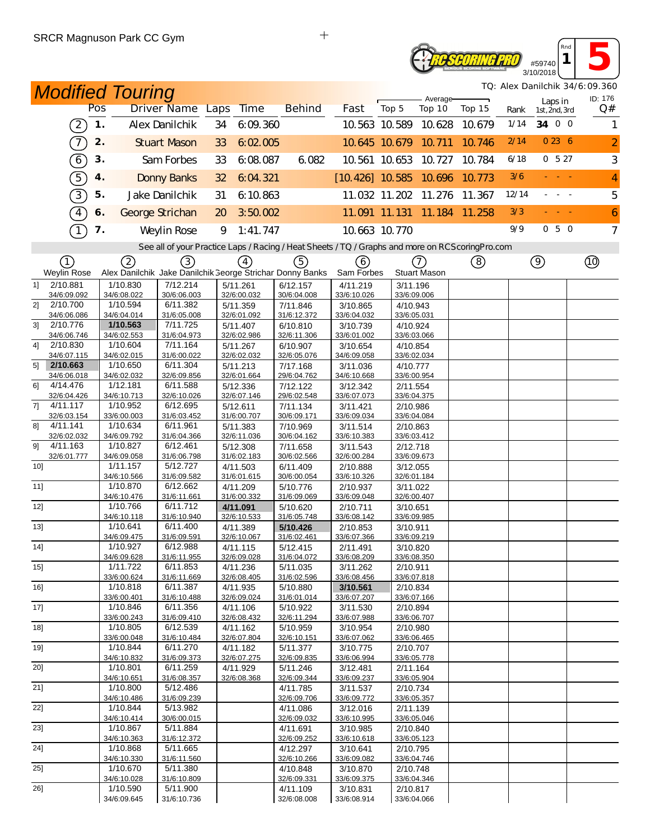# **TE SCORING PRO** #59740

**1 5** 3/10/2018 *TQ: Alex Danilchik 34/6:09.360*

*Rnd*

| <b>Modified Touring</b>       |     |                         |                                                                                                   |    |                         |                         |                          |                         |                      |        |       |                          | TQ: Alex Danilchik 34/6:09.360 |
|-------------------------------|-----|-------------------------|---------------------------------------------------------------------------------------------------|----|-------------------------|-------------------------|--------------------------|-------------------------|----------------------|--------|-------|--------------------------|--------------------------------|
|                               | Pos |                         | Driver Name Laps                                                                                  |    | <b>Time</b>             | <b>Behind</b>           | Fast                     | Top 5                   | Average-<br>Top 10   | Top 15 | Rank  | Laps in<br>1st, 2nd, 3rd | ID: 176<br>Q#                  |
| $\left[2\right]$              | 1.  |                         | Alex Danilchik                                                                                    | 34 | 6:09:360                |                         |                          |                         | 10.563 10.589 10.628 | 10.679 | 1/14  | 34 0 0                   | 1                              |
|                               |     |                         |                                                                                                   |    |                         |                         |                          |                         |                      |        |       |                          |                                |
| $\overline{\mathcal{T}}$      | 2.  |                         | <b>Stuart Mason</b>                                                                               | 33 | 6:02.005                |                         |                          | 10.645 10.679 10.711    |                      | 10.746 | 2/14  | 0236                     | $\overline{2}$                 |
| $\boxed{6}$                   | 3.  |                         | Sam Forbes                                                                                        | 33 | 6:08.087                | 6.082                   |                          |                         | 10.561 10.653 10.727 | 10.784 | 6/18  | 0527                     | 3                              |
| $\sqrt{5}$                    | 4.  |                         | <b>Donny Banks</b>                                                                                | 32 | 6:04.321                |                         | $[10.426]$ 10.585 10.696 |                         |                      | 10.773 | 3/6   |                          | 4                              |
| $\boxed{3}$                   | 5.  |                         | Jake Danilchik                                                                                    | 31 | 6:10.863                |                         |                          |                         | 11.032 11.202 11.276 | 11.367 | 12/14 |                          | 5                              |
| $\boxed{4}$                   | 6.  |                         | George Strichan                                                                                   | 20 | 3:50.002                |                         |                          | 11.091 11.131           | 11.184 11.258        |        | 3/3   |                          | 6                              |
| $\top$                        | 7.  |                         | Weylin Rose                                                                                       | 9  | 1:41.747                |                         |                          | 10.663 10.770           |                      |        | 9/9   | 050                      | $\overline{7}$                 |
|                               |     |                         | See all of your Practice Laps / Racing / Heat Sheets / TQ / Graphs and more on RCS coring Pro.com |    |                         |                         |                          |                         |                      |        |       |                          |                                |
| (1)                           |     | (2)                     | (3)                                                                                               |    | $\left(4\right)$        | (5)                     |                          |                         | (7)                  |        |       |                          |                                |
| Weylin Rose                   |     |                         | Alex Danilchik Jake Danilchik George Strichar Donny Banks                                         |    |                         |                         | (6)<br>Sam Forbes        |                         | Stuart Mason         | (8)    |       | $\circledcirc$           |                                |
| 2/10.881<br>11                |     | 1/10.830                | 7/12.214                                                                                          |    | 5/11.261                | 6/12.157                | 4/11.219                 | 3/11.196                |                      |        |       |                          |                                |
| 34/6:09.092<br>2/10.700<br>2] |     | 34/6:08.022<br>1/10.594 | 30/6:06.003<br>6/11.382                                                                           |    | 32/6:00.032<br>5/11.359 | 30/6:04.008<br>7/11.846 | 33/6:10.026<br>3/10.865  | 33/6:09.006<br>4/10.943 |                      |        |       |                          |                                |
| 34/6:06.086                   |     | 34/6:04.014             | 31/6:05.008                                                                                       |    | 32/6:01.092             | 31/6:12.372             | 33/6:04.032              | 33/6:05.031             |                      |        |       |                          |                                |
| 3 <sup>1</sup><br>2/10.776    |     | 1/10.563                | 7/11.725                                                                                          |    | 5/11.407                | 6/10.810                | 3/10.739                 | 4/10.924                |                      |        |       |                          |                                |
| 34/6:06.746<br>41<br>2/10.830 |     | 34/6:02.553<br>1/10.604 | 31/6:04.973<br>7/11.164                                                                           |    | 32/6:02.986<br>5/11.267 | 32/6:11.306<br>6/10.907 | 33/6:01.002<br>3/10.654  | 33/6:03.066<br>4/10.854 |                      |        |       |                          |                                |
| 34/6:07.115                   |     | 34/6:02.015             | 31/6:00.022                                                                                       |    | 32/6:02.032             | 32/6:05.076             | 34/6:09.058              | 33/6:02.034             |                      |        |       |                          |                                |
| 2/10.663<br>5 <sup>1</sup>    |     | 1/10.650                | 6/11.304                                                                                          |    | 5/11.213                | 7/17.168                | 3/11.036                 | 4/10.777                |                      |        |       |                          |                                |
| 34/6:06.018<br>4/14.476<br>6] |     | 34/6:02.032<br>1/12.181 | 32/6:09.856<br>6/11.588                                                                           |    | 32/6:01.664<br>5/12.336 | 29/6:04.762<br>7/12.122 | 34/6:10.668<br>3/12.342  | 33/6:00.954<br>2/11.554 |                      |        |       |                          |                                |
| 32/6:04.426                   |     | 34/6:10.713             | 32/6:10.026                                                                                       |    | 32/6:07.146             | 29/6:02.548             | 33/6:07.073              | 33/6:04.375             |                      |        |       |                          |                                |
| 7]<br>4/11.117<br>32/6:03.154 |     | 1/10.952<br>33/6:00.003 | 6/12.695<br>31/6:03.452                                                                           |    | 5/12.611<br>31/6:00.707 | 7/11.134<br>30/6:09.171 | 3/11.421<br>33/6:09.034  | 2/10.986<br>33/6:04.084 |                      |        |       |                          |                                |
| 4/11.141<br>81                |     | 1/10.634                | 6/11.961                                                                                          |    | 5/11.383                | 7/10.969                | 3/11.514                 | 2/10.863                |                      |        |       |                          |                                |
| 32/6:02.032                   |     | 34/6:09.792             | 31/6:04.366                                                                                       |    | 32/6:11.036             | 30/6:04.162             | 33/6:10.383              | 33/6:03.412             |                      |        |       |                          |                                |
| 4/11.163<br>91<br>32/6:01.777 |     | 1/10.827<br>34/6:09.058 | 6/12.461<br>31/6:06.798                                                                           |    | 5/12.308<br>31/6:02.183 | 7/11.658<br>30/6:02.566 | 3/11.543<br>32/6:00.284  | 2/12.718<br>33/6:09.673 |                      |        |       |                          |                                |
| 10                            |     | 1/11.157                | 5/12.727                                                                                          |    | 4/11.503                | 6/11.409                | 2/10.888                 | 3/12.055                |                      |        |       |                          |                                |
|                               |     | 34/6:10.566             | 31/6:09.582                                                                                       |    | 31/6:01.615             | 30/6:00.054             | 33/6:10.326              | 32/6:01.184             |                      |        |       |                          |                                |
| 11]                           |     | 1/10.870<br>34/6:10.476 | 6/12.662<br>31/6:11.661                                                                           |    | 4/11.209<br>31/6:00.332 | 5/10.776<br>31/6:09.069 | 2/10.937<br>33/6:09.048  | 3/11.022<br>32/6:00.407 |                      |        |       |                          |                                |
| 12]                           |     | 1/10.766                | 6/11.712                                                                                          |    | 4/11.091                | 5/10.620                | 2/10.711                 | 3/10.651                |                      |        |       |                          |                                |
| 13]                           |     | 34/6:10.118             | 31/6:10.940                                                                                       |    | 32/6:10.533             | 31/6:05.748             | 33/6:08.142              | 33/6:09.985             |                      |        |       |                          |                                |
|                               |     | 1/10.641<br>34/6:09.475 | 6/11.400<br>31/6:09.591                                                                           |    | 4/11.389<br>32/6:10.067 | 5/10.426<br>31/6:02.461 | 2/10.853<br>33/6:07.366  | 3/10.911<br>33/6:09.219 |                      |        |       |                          |                                |
| 14]                           |     | 1/10.927                | 6/12.988                                                                                          |    | 4/11.115                | 5/12.415                | 2/11.491                 | 3/10.820                |                      |        |       |                          |                                |
| 15]                           |     | 34/6:09.628<br>1/11.722 | 31/6:11.955<br>6/11.853                                                                           |    | 32/6:09.028<br>4/11.236 | 31/6:04.072<br>5/11.035 | 33/6:08.209<br>3/11.262  | 33/6:08.350<br>2/10.911 |                      |        |       |                          |                                |
|                               |     | 33/6:00.624             | 31/6:11.669                                                                                       |    | 32/6:08.405             | 31/6:02.596             | 33/6:08.456              | 33/6:07.818             |                      |        |       |                          |                                |
| $16$ ]                        |     | 1/10.818                | 6/11.387                                                                                          |    | 4/11.935                | 5/10.880                | 3/10.561                 | 2/10.834                |                      |        |       |                          |                                |
| 17]                           |     | 33/6:00.401<br>1/10.846 | 31/6:10.488<br>6/11.356                                                                           |    | 32/6:09.024<br>4/11.106 | 31/6:01.014<br>5/10.922 | 33/6:07.207<br>3/11.530  | 33/6:07.166<br>2/10.894 |                      |        |       |                          |                                |
|                               |     | 33/6:00.243             | 31/6:09.410                                                                                       |    | 32/6:08.432             | 32/6:11.294             | 33/6:07.988              | 33/6:06.707             |                      |        |       |                          |                                |
| 18]                           |     | 1/10.805<br>33/6:00.048 | 6/12.539<br>31/6:10.484                                                                           |    | 4/11.162<br>32/6:07.804 | 5/10.959<br>32/6:10.151 | 3/10.954<br>33/6:07.062  | 2/10.980<br>33/6:06.465 |                      |        |       |                          |                                |
| 19]                           |     | 1/10.844                | 6/11.270                                                                                          |    | 4/11.182                | 5/11.377                | 3/10.775                 | 2/10.707                |                      |        |       |                          |                                |
|                               |     | 34/6:10.832             | 31/6:09.373                                                                                       |    | 32/6:07.275             | 32/6:09.835             | 33/6:06.994              |                         | 33/6:05.778          |        |       |                          |                                |
| 20]                           |     | 1/10.801<br>34/6:10.651 | 6/11.259<br>31/6:08.357                                                                           |    | 4/11.929<br>32/6:08.368 | 5/11.246<br>32/6:09.344 | 3/12.481<br>33/6:09.237  | 2/11.164<br>33/6:05.904 |                      |        |       |                          |                                |
| 21]                           |     | 1/10.800                | 5/12.486                                                                                          |    |                         | 4/11.785                | 3/11.537                 | 2/10.734                |                      |        |       |                          |                                |
|                               |     | 34/6:10.486             | 31/6:09.239                                                                                       |    |                         | 32/6:09.706             | 33/6:09.772              | 33/6:05.357             |                      |        |       |                          |                                |
| 22]                           |     | 1/10.844<br>34/6:10.414 | 5/13.982<br>30/6:00.015                                                                           |    |                         | 4/11.086<br>32/6:09.032 | 3/12.016<br>33/6:10.995  | 2/11.139<br>33/6:05.046 |                      |        |       |                          |                                |
| 23]                           |     | 1/10.867                | 5/11.884                                                                                          |    |                         | 4/11.691                | 3/10.985                 | 2/10.840                |                      |        |       |                          |                                |
| 24]                           |     | 34/6:10.363<br>1/10.868 | 31/6:12.372<br>5/11.665                                                                           |    |                         | 32/6:09.252<br>4/12.297 | 33/6:10.618<br>3/10.641  | 2/10.795                | 33/6:05.123          |        |       |                          |                                |
|                               |     | 34/6:10.330             | 31/6:11.560                                                                                       |    |                         | 32/6:10.266             | 33/6:09.082              | 33/6:04.746             |                      |        |       |                          |                                |
| $25$ ]                        |     | 1/10.670                | 5/11.380                                                                                          |    |                         | 4/10.848                | 3/10.870                 | 2/10.748                |                      |        |       |                          |                                |
| 26]                           |     | 34/6:10.028<br>1/10.590 | 31/6:10.809<br>5/11.900                                                                           |    |                         | 32/6:09.331<br>4/11.109 | 33/6:09.375<br>3/10.831  | 2/10.817                | 33/6:04.346          |        |       |                          |                                |
|                               |     | 34/6:09.645             | 31/6:10.736                                                                                       |    |                         | 32/6:08.008             | 33/6:08.914              | 33/6:04.066             |                      |        |       |                          |                                |

 $\ddot{+}$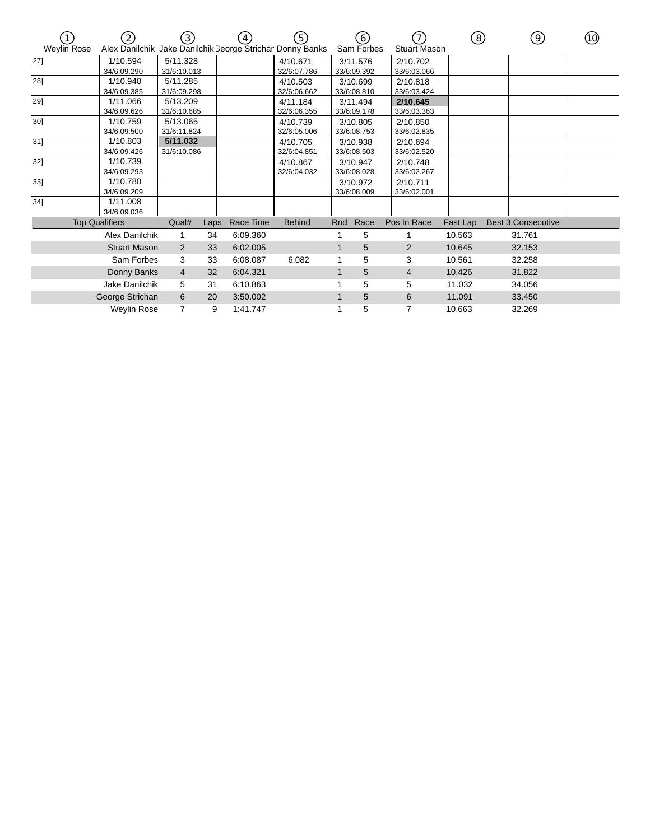| <b>Weylin Rose</b> | (2)<br>Alex Danilchik Jake Danilchik George Strichar Donny Banks | (3)                     |      | 4)        | (5)                     |     | (6)<br>Sam Forbes       | <b>Stuart Mason</b>     | ි        | 9)                        | (10) |
|--------------------|------------------------------------------------------------------|-------------------------|------|-----------|-------------------------|-----|-------------------------|-------------------------|----------|---------------------------|------|
| 27]                | 1/10.594<br>34/6:09.290                                          | 5/11.328<br>31/6:10.013 |      |           | 4/10.671<br>32/6:07.786 |     | 3/11.576<br>33/6:09.392 | 2/10.702<br>33/6:03.066 |          |                           |      |
| 28]                | 1/10.940<br>34/6:09.385                                          | 5/11.285<br>31/6:09.298 |      |           | 4/10.503<br>32/6:06.662 |     | 3/10.699<br>33/6:08.810 | 2/10.818<br>33/6:03.424 |          |                           |      |
| 29]                | 1/11.066<br>34/6:09.626                                          | 5/13.209<br>31/6:10.685 |      |           | 4/11.184<br>32/6:06.355 |     | 3/11.494<br>33/6:09.178 | 2/10.645<br>33/6:03.363 |          |                           |      |
| $30$ ]             | 1/10.759<br>34/6:09.500                                          | 5/13.065<br>31/6:11.824 |      |           | 4/10.739<br>32/6:05.006 |     | 3/10.805<br>33/6:08.753 | 2/10.850<br>33/6:02.835 |          |                           |      |
| $31$ ]             | 1/10.803<br>34/6:09.426                                          | 5/11.032<br>31/6:10.086 |      |           | 4/10.705<br>32/6:04.851 |     | 3/10.938<br>33/6:08.503 | 2/10.694<br>33/6:02.520 |          |                           |      |
| 32]                | 1/10.739<br>34/6:09.293                                          |                         |      |           | 4/10.867<br>32/6:04.032 |     | 3/10.947<br>33/6:08.028 | 2/10.748<br>33/6:02.267 |          |                           |      |
| 33]                | 1/10.780<br>34/6:09.209                                          |                         |      |           |                         |     | 3/10.972<br>33/6:08.009 | 2/10.711<br>33/6:02.001 |          |                           |      |
| $34$ ]             | 1/11.008<br>34/6:09.036                                          |                         |      |           |                         |     |                         |                         |          |                           |      |
|                    | <b>Top Qualifiers</b>                                            | Qual#                   | Laps | Race Time | <b>Behind</b>           | Rnd | Race                    | Pos In Race             | Fast Lap | <b>Best 3 Consecutive</b> |      |
|                    | Alex Danilchik                                                   | 1                       | 34   | 6:09.360  |                         |     | 5                       |                         | 10.563   | 31.761                    |      |
|                    | <b>Stuart Mason</b>                                              | 2                       | 33   | 6:02.005  |                         |     | 5                       | 2                       | 10.645   | 32.153                    |      |
|                    | Sam Forbes                                                       | 3                       | 33   | 6:08.087  | 6.082                   |     | 5                       | 3                       | 10.561   | 32.258                    |      |
|                    | Donny Banks                                                      | $\overline{4}$          | 32   | 6:04.321  |                         |     | 5                       | 4                       | 10.426   | 31.822                    |      |
|                    | Jake Danilchik                                                   | 5                       | 31   | 6:10.863  |                         |     | 5                       | 5                       | 11.032   | 34.056                    |      |
|                    | George Strichan                                                  | 6                       | 20   | 3:50.002  |                         |     | 5                       | 6                       | 11.091   | 33.450                    |      |
|                    | Weylin Rose                                                      | 7                       | 9    | 1:41.747  |                         |     | 5                       | 7                       | 10.663   | 32.269                    |      |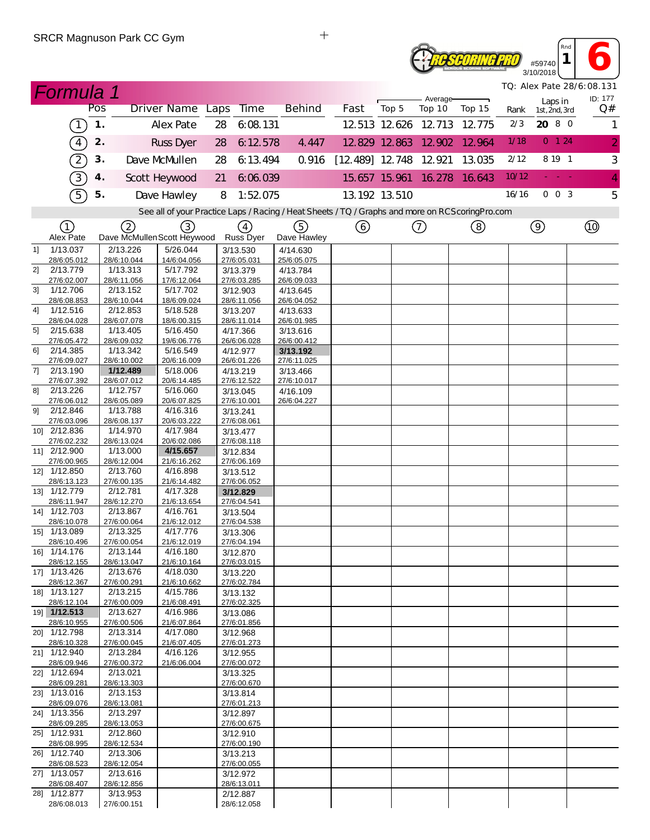

**<sup>1</sup> 6** 3/10/2018 *TQ: Alex Pate 28/6:08.131*

*Rnd*

|    | <b>Formula 1</b>            |               |                                    |                                                                                                   |    |                                      |                         |                        |               |                      |        |       |                          | TQ: Alex Pate 28/6:08.131 |
|----|-----------------------------|---------------|------------------------------------|---------------------------------------------------------------------------------------------------|----|--------------------------------------|-------------------------|------------------------|---------------|----------------------|--------|-------|--------------------------|---------------------------|
|    |                             | Pos           |                                    | Driver Name Laps                                                                                  |    | <b>Time</b>                          | <b>Behind</b>           | Fast                   | Top 5         | Average-<br>Top 10   | Top 15 | Rank  | Laps in<br>1st, 2nd, 3rd | ID: 177<br>Q#             |
|    | $\left(1\right)$            | $\mathbf 1$ . |                                    | <b>Alex Pate</b>                                                                                  | 28 | 6:08.131                             |                         |                        |               | 12 513 12 626 12 713 | 12.775 | 2/3   | 20 8 0                   | $\mathbf{1}$              |
|    | $\binom{4}{}$               | 2.            |                                    | <b>Russ Dyer</b>                                                                                  | 28 | 6:12.578                             | 4.447                   |                        |               | 12.829 12.863 12.902 | 12.964 | 1/18  | 0 124                    | $\overline{2}$            |
|    | $\left( 2\right)$           | 3.            |                                    | Dave McMullen                                                                                     | 28 | 6:13.494                             | 0.916                   | [12.489] 12.748 12.921 |               |                      | 13.035 | 2/12  | 8 19 1                   | 3                         |
|    | 3)                          | 4.            |                                    | Scott Heywood                                                                                     | 21 | 6:06.039                             |                         |                        |               | 15.657 15.961 16.278 | 16.643 | 10/12 | - - -                    | $\overline{4}$            |
|    | $\sqrt{5}$                  | 5.            |                                    | Dave Hawley                                                                                       | 8  | 1:52.075                             |                         |                        | 13.192 13.510 |                      |        | 16/16 | $0\quad0\quad3$          | 5                         |
|    |                             |               |                                    | See all of your Practice Laps / Racing / Heat Sheets / TQ / Graphs and more on RCS coring Pro.com |    |                                      |                         |                        |               |                      |        |       |                          |                           |
|    | ①                           |               |                                    |                                                                                                   |    |                                      |                         |                        |               |                      |        |       |                          |                           |
|    | Alex Pate                   |               | (2)<br>Dave McMullen Scott Heywood | $\left(3\right)$                                                                                  |    | $\left(4\right)$<br><b>Russ Dyer</b> | (5)<br>Dave Hawley      | ⑥                      |               | ➀                    | ③      |       | $\circledcirc$           |                           |
| 1  | 1/13.037                    |               | 2/13.226                           | 5/26.044                                                                                          |    | 3/13.530                             | 4/14.630                |                        |               |                      |        |       |                          |                           |
| 2] | 28/6:05.012<br>2/13.779     |               | 28/6:10.044<br>1/13.313            | 14/6:04.056<br>5/17.792                                                                           |    | 27/6:05.031<br>3/13.379              | 25/6:05.075<br>4/13.784 |                        |               |                      |        |       |                          |                           |
|    | 27/6:02.007                 |               | 28/6:11.056                        | 17/6:12.064                                                                                       |    | 27/6:03.285                          | 26/6:09.033             |                        |               |                      |        |       |                          |                           |
| 31 | 1/12.706                    |               | 2/13.152                           | 5/17.702                                                                                          |    | 3/12.903                             | 4/13.645                |                        |               |                      |        |       |                          |                           |
|    | 28/6:08.853                 |               | 28/6:10.044                        | 18/6:09.024                                                                                       |    | 28/6:11.056                          | 26/6:04.052             |                        |               |                      |        |       |                          |                           |
| 4] | 1/12.516<br>28/6:04.028     |               | 2/12.853<br>28/6:07.078            | 5/18.528<br>18/6:00.315                                                                           |    | 3/13.207<br>28/6:11.014              | 4/13.633<br>26/6:01.985 |                        |               |                      |        |       |                          |                           |
| 51 | 2/15.638                    |               | 1/13.405                           | 5/16.450                                                                                          |    | 4/17.366                             | 3/13.616                |                        |               |                      |        |       |                          |                           |
|    | 27/6:05.472                 |               | 28/6:09.032                        | 19/6:06.776                                                                                       |    | 26/6:06.028                          | 26/6:00.412             |                        |               |                      |        |       |                          |                           |
| 61 | 2/14.385                    |               | 1/13.342                           | 5/16.549                                                                                          |    | 4/12.977                             | 3/13.192                |                        |               |                      |        |       |                          |                           |
| 7] | 27/6:09.027<br>2/13.190     |               | 28/6:10.002<br>1/12.489            | 20/6:16.009<br>5/18.006                                                                           |    | 26/6:01.226<br>4/13.219              | 27/6:11.025<br>3/13.466 |                        |               |                      |        |       |                          |                           |
|    | 27/6:07.392                 |               | 28/6:07.012                        | 20/6:14.485                                                                                       |    | 27/6:12.522                          | 27/6:10.017             |                        |               |                      |        |       |                          |                           |
| 81 | 2/13.226                    |               | 1/12.757                           | 5/16.060                                                                                          |    | 3/13.045                             | 4/16.109                |                        |               |                      |        |       |                          |                           |
|    | 27/6:06.012                 |               | 28/6:05.089                        | 20/6:07.825                                                                                       |    | 27/6:10.001                          | 26/6:04.227             |                        |               |                      |        |       |                          |                           |
| 91 | 2/12.846<br>27/6:03.096     |               | 1/13.788                           | 4/16.316                                                                                          |    | 3/13.241                             |                         |                        |               |                      |        |       |                          |                           |
|    | 10] 2/12.836                |               | 28/6:08.137<br>1/14.970            | 20/6:03.222<br>4/17.984                                                                           |    | 27/6:08.061<br>3/13.477              |                         |                        |               |                      |        |       |                          |                           |
|    | 27/6:02.232                 |               | 28/6:13.024                        | 20/6:02.086                                                                                       |    | 27/6:08.118                          |                         |                        |               |                      |        |       |                          |                           |
|    | 11] 2/12.900                |               | 1/13.000                           | 4/15.657                                                                                          |    | 3/12.834                             |                         |                        |               |                      |        |       |                          |                           |
|    | 27/6:00.965                 |               | 28/6:12.004                        | 21/6:16.262                                                                                       |    | 27/6:06.169                          |                         |                        |               |                      |        |       |                          |                           |
|    | 12] 1/12.850<br>28/6:13.123 |               | 2/13.760<br>27/6:00.135            | 4/16.898<br>21/6:14.482                                                                           |    | 3/13.512<br>27/6:06.052              |                         |                        |               |                      |        |       |                          |                           |
|    | 13] 1/12.779                |               | 2/12.781                           | 4/17.328                                                                                          |    | 3/12.829                             |                         |                        |               |                      |        |       |                          |                           |
|    | 28/6:11.947                 |               | 28/6:12.270                        | 21/6:13.654                                                                                       |    | 27/6:04.541                          |                         |                        |               |                      |        |       |                          |                           |
|    | 14] 1/12.703                |               | 2/13.867                           | 4/16.761                                                                                          |    | 3/13.504                             |                         |                        |               |                      |        |       |                          |                           |
|    | 28/6:10.078<br>15] 1/13.089 |               | 27/6:00.064<br>2/13.325            | 21/6:12.012<br>4/17.776                                                                           |    | 27/6:04.538<br>3/13.306              |                         |                        |               |                      |        |       |                          |                           |
|    | 28/6:10.496                 |               | 27/6:00.054                        | 21/6:12.019                                                                                       |    | 27/6:04.194                          |                         |                        |               |                      |        |       |                          |                           |
|    | 16] 1/14.176                |               | 2/13.144                           | 4/16.180                                                                                          |    | 3/12.870                             |                         |                        |               |                      |        |       |                          |                           |
|    | 28/6:12.155                 |               | 28/6:13.047                        | 21/6:10.164                                                                                       |    | 27/6:03.015                          |                         |                        |               |                      |        |       |                          |                           |
|    | 17] 1/13.426                |               | 2/13.676<br>27/6:00.291            | 4/18.030                                                                                          |    | 3/13.220                             |                         |                        |               |                      |        |       |                          |                           |
|    | 28/6:12.367<br>18] 1/13.127 |               | 2/13.215                           | 21/6:10.662<br>4/15.786                                                                           |    | 27/6:02.784<br>3/13.132              |                         |                        |               |                      |        |       |                          |                           |
|    | 28/6:12.104                 |               | 27/6:00.009                        | 21/6:08.491                                                                                       |    | 27/6:02.325                          |                         |                        |               |                      |        |       |                          |                           |
|    | 19] 1/12.513                |               | 2/13.627                           | 4/16.986                                                                                          |    | 3/13.086                             |                         |                        |               |                      |        |       |                          |                           |
|    | 28/6:10.955<br>20] 1/12.798 |               | 27/6:00.506<br>2/13.314            | 21/6:07.864<br>4/17.080                                                                           |    | 27/6:01.856                          |                         |                        |               |                      |        |       |                          |                           |
|    | 28/6:10.328                 |               | 27/6:00.045                        | 21/6:07.405                                                                                       |    | 3/12.968<br>27/6:01.273              |                         |                        |               |                      |        |       |                          |                           |
|    | 21] 1/12.940                |               | 2/13.284                           | 4/16.126                                                                                          |    | 3/12.955                             |                         |                        |               |                      |        |       |                          |                           |
|    | 28/6:09.946                 |               | 27/6:00.372                        | 21/6:06.004                                                                                       |    | 27/6:00.072                          |                         |                        |               |                      |        |       |                          |                           |
|    | 22] 1/12.694                |               | 2/13.021                           |                                                                                                   |    | 3/13.325                             |                         |                        |               |                      |        |       |                          |                           |
|    | 28/6:09.281<br>23] 1/13.016 |               | 28/6:13.303<br>2/13.153            |                                                                                                   |    | 27/6:00.670<br>3/13.814              |                         |                        |               |                      |        |       |                          |                           |
|    | 28/6:09.076                 |               | 28/6:13.081                        |                                                                                                   |    | 27/6:01.213                          |                         |                        |               |                      |        |       |                          |                           |
|    | 24] 1/13.356                |               | 2/13.297                           |                                                                                                   |    | 3/12.897                             |                         |                        |               |                      |        |       |                          |                           |
|    | 28/6:09.285<br>25] 1/12.931 |               | 28/6:13.053<br>2/12.860            |                                                                                                   |    | 27/6:00.675                          |                         |                        |               |                      |        |       |                          |                           |
|    | 28/6:08.995                 |               | 28/6:12.534                        |                                                                                                   |    | 3/12.910<br>27/6:00.190              |                         |                        |               |                      |        |       |                          |                           |
|    | 26] 1/12.740                |               | 2/13.306                           |                                                                                                   |    | 3/13.213                             |                         |                        |               |                      |        |       |                          |                           |
|    | 28/6:08.523                 |               | 28/6:12.054                        |                                                                                                   |    | 27/6:00.055                          |                         |                        |               |                      |        |       |                          |                           |
|    | 27] 1/13.057<br>28/6:08.407 |               | 2/13.616<br>28/6:12.856            |                                                                                                   |    | 3/12.972<br>28/6:13.011              |                         |                        |               |                      |        |       |                          |                           |
|    | 28] 1/12.877                |               | 3/13.953                           |                                                                                                   |    | 2/12.887                             |                         |                        |               |                      |        |       |                          |                           |
|    | 28/6:08.013                 |               | 27/6:00.151                        |                                                                                                   |    | 28/6:12.058                          |                         |                        |               |                      |        |       |                          |                           |

 $\qquad \qquad +$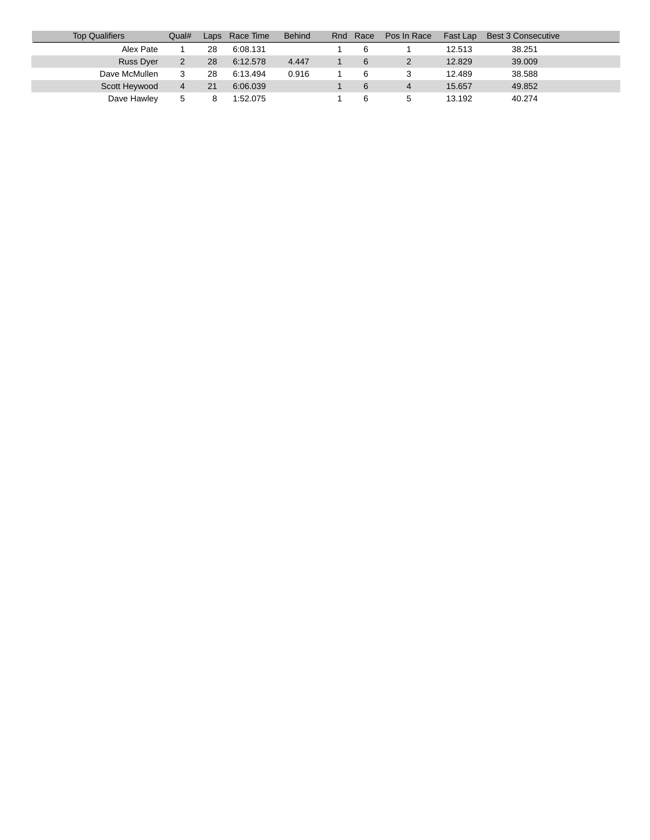| <b>Top Qualifiers</b> | Qual# | Laps | Race Time | <b>Behind</b> | Rnd | Race | Pos In Race | Fast Lap | Best 3 Consecutive |
|-----------------------|-------|------|-----------|---------------|-----|------|-------------|----------|--------------------|
| Alex Pate             |       | 28   | 6:08.131  |               |     | 6    |             | 12.513   | 38.251             |
| Russ Dyer             | 2     | 28   | 6:12.578  | 4.447         |     |      |             | 12.829   | 39,009             |
| Dave McMullen         |       | 28   | 6:13.494  | 0.916         |     |      |             | 12.489   | 38.588             |
| Scott Heywood         | 4     | 21   | 6:06.039  |               |     | 6    | 4           | 15.657   | 49.852             |
| Dave Hawley           | 5     |      | 1:52.075  |               |     |      |             | 13.192   | 40.274             |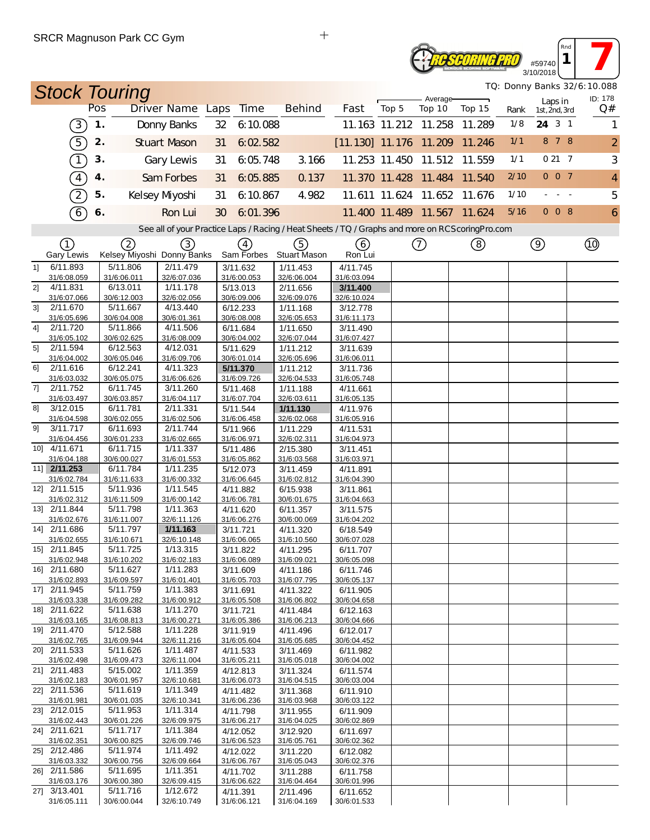#### **Reseoring Pro** #59740 3/10/2018

*TQ: Donny Banks 32/6:10.088*

*Rnd* **1 1** 

| <b>Stock Touring</b>          |               |                         |                                                                                                  |    |                         |                         |                               |       |                             |        |      |                          | TQ: Donny Banks 32/6:10.088<br>ID: 178 |
|-------------------------------|---------------|-------------------------|--------------------------------------------------------------------------------------------------|----|-------------------------|-------------------------|-------------------------------|-------|-----------------------------|--------|------|--------------------------|----------------------------------------|
|                               | Pos           |                         | Driver Name Laps                                                                                 |    | Time                    | <b>Behind</b>           | Fast                          | Top 5 | Average-<br>Top 10          | Top 15 | Rank | Laps in<br>1st, 2nd, 3rd | Q#                                     |
| (3)                           | $\mathbf 1$ . |                         | Donny Banks                                                                                      | 32 | 6:10.088                |                         |                               |       | 11.163 11.212 11.258        | 11.289 | 1/8  | 24 3 1                   | 1                                      |
| 5                             | 2.            |                         | <b>Stuart Mason</b>                                                                              | 31 | 6:02.582                |                         | [11.130] 11.176 11.209 11.246 |       |                             |        | 1/1  | 8 7 8                    | $\overline{a}$                         |
| T                             | 3.            |                         | Gary Lewis                                                                                       | 31 | 6:05.748                | 3.166                   |                               |       | 11.253 11.450 11.512 11.559 |        | 1/1  | 0217                     | 3                                      |
| $\boxed{4}$                   | 4.            |                         | Sam Forbes                                                                                       | 31 | 6:05.885                | 0.137                   |                               |       | 11.370 11.428 11.484 11.540 |        | 2/10 | 007                      | $\overline{4}$                         |
| $\left( 2\right)$             | 5.            |                         | Kelsey Myoshi                                                                                    | 31 | 6:10.867                | 4.982                   |                               |       | 11.611 11.624 11.652 11.676 |        | 1/10 |                          | 5                                      |
| $\left[6\right]$              | 6.            |                         | Ron Lui                                                                                          | 30 | 6:01.396                |                         |                               |       | 11.400 11.489 11.567 11.624 |        | 5/16 | 008                      | 6                                      |
|                               |               |                         | See all of your Practice Laps / Racing / Heat Sheets / TQ / Graphs and more on RCScoring Pro.com |    |                         |                         |                               |       |                             |        |      |                          |                                        |
| (1)                           |               | 2                       | (3)                                                                                              |    | (4)                     | (5)                     | (6)                           |       | (7)                         | (8)    |      | $\circledcirc$           | Q)                                     |
| <b>Gary Lewis</b>             |               |                         | Kelsey Miyoshi Donny Banks                                                                       |    | Sam Forbes              | <b>Stuart Mason</b>     | Ron Lui                       |       |                             |        |      |                          |                                        |
| 6/11.893<br>11                |               | 5/11.806                | 2/11.479                                                                                         |    | 3/11.632                | 1/11.453                | 4/11.745<br>31/6:03.094       |       |                             |        |      |                          |                                        |
| 31/6:08.059<br>2]<br>4/11.831 |               | 31/6:06.011<br>6/13.011 | 32/6:07.036<br>1/11.178                                                                          |    | 31/6:00.053<br>5/13.013 | 32/6:06.004<br>2/11.656 | 3/11.400                      |       |                             |        |      |                          |                                        |
| 31/6:07.066                   |               | 30/6:12.003             | 32/6:02.056                                                                                      |    | 30/6:09.006             | 32/6:09.076             | 32/6:10.024                   |       |                             |        |      |                          |                                        |
| 2/11.670<br>31                |               | 5/11.667                | 4/13.440                                                                                         |    | 6/12.233                | 1/11.168                | 3/12.778                      |       |                             |        |      |                          |                                        |
| 31/6:05.696                   |               | 30/6:04.008             | 30/6:01.361                                                                                      |    | 30/6:08.008             | 32/6:05.653             | 31/6:11.173                   |       |                             |        |      |                          |                                        |
| 2/11.720<br>41<br>31/6:05.102 |               | 5/11.866<br>30/6:02.625 | 4/11.506<br>31/6:08.009                                                                          |    | 6/11.684<br>30/6:04.002 | 1/11.650<br>32/6:07.044 | 3/11.490<br>31/6:07.427       |       |                             |        |      |                          |                                        |
| 2/11.594<br>5]                |               | 6/12.563                | 4/12.031                                                                                         |    | 5/11.629                | 1/11.212                | 3/11.639                      |       |                             |        |      |                          |                                        |
| 31/6:04.002                   |               | 30/6:05.046             | 31/6:09.706                                                                                      |    | 30/6:01.014             | 32/6:05.696             | 31/6:06.011                   |       |                             |        |      |                          |                                        |
| 61<br>2/11.616                |               | 6/12.241                | 4/11.323                                                                                         |    | 5/11.370                | 1/11.212                | 3/11.736                      |       |                             |        |      |                          |                                        |
| 31/6:03.032<br>2/11.752       |               | 30/6:05.075<br>6/11.745 | 31/6:06.626<br>3/11.260                                                                          |    | 31/6:09.726             | 32/6:04.533             | 31/6:05.748                   |       |                             |        |      |                          |                                        |
| 7]<br>31/6:03.497             |               | 30/6:03.857             | 31/6:04.117                                                                                      |    | 5/11.468<br>31/6:07.704 | 1/11.188<br>32/6:03.611 | 4/11.661<br>31/6:05.135       |       |                             |        |      |                          |                                        |
| 3/12.015<br>81                |               | 6/11.781                | 2/11.331                                                                                         |    | 5/11.544                | 1/11.130                | 4/11.976                      |       |                             |        |      |                          |                                        |
| 31/6:04.598                   |               | 30/6:02.055             | 31/6:02.506                                                                                      |    | 31/6:06.458             | 32/6:02.068             | 31/6:05.916                   |       |                             |        |      |                          |                                        |
| 3/11.717<br>91                |               | 6/11.693                | 2/11.744                                                                                         |    | 5/11.966                | 1/11.229                | 4/11.531                      |       |                             |        |      |                          |                                        |
| 31/6:04.456<br>10] 4/11.671   |               | 30/6:01.233<br>6/11.715 | 31/6:02.665<br>1/11.337                                                                          |    | 31/6:06.971             | 32/6:02.311             | 31/6:04.973                   |       |                             |        |      |                          |                                        |
| 31/6:04.188                   |               | 30/6:00.027             | 31/6:01.553                                                                                      |    | 5/11.486<br>31/6:05.862 | 2/15.380<br>31/6:03.568 | 3/11.451<br>31/6:03.971       |       |                             |        |      |                          |                                        |
| 11] 2/11.253                  |               | 6/11.784                | 1/11.235                                                                                         |    | 5/12.073                | 3/11.459                | 4/11.891                      |       |                             |        |      |                          |                                        |
| 31/6:02.784                   |               | 31/6:11.633             | 31/6:00.332                                                                                      |    | 31/6:06.645             | 31/6:02.812             | 31/6:04.390                   |       |                             |        |      |                          |                                        |
| 12] 2/11.515                  |               | 5/11.936                | 1/11.545                                                                                         |    | 4/11.882                | 6/15.938                | 3/11.861                      |       |                             |        |      |                          |                                        |
| 31/6:02.312<br>13] 2/11.844   |               | 31/6:11.509<br>5/11.798 | 31/6:00.142<br>1/11.363                                                                          |    | 31/6:06.781<br>4/11.620 | 30/6:01.675             | 31/6:04.663                   |       |                             |        |      |                          |                                        |
| 31/6:02.676                   |               | 31/6:11.007             | 32/6:11.126                                                                                      |    | 31/6:06.276             | 6/11.357<br>30/6:00.069 | 3/11.575<br>31/6:04.202       |       |                             |        |      |                          |                                        |
| 14] 2/11.686                  |               | 5/11.797                | 1/11.163                                                                                         |    | 3/11.721                | 4/11.320                | 6/18.549                      |       |                             |        |      |                          |                                        |
| 31/6:02.655                   |               | 31/6:10.671             | 32/6:10.148                                                                                      |    | 31/6:06.065             | 31/6:10.560             | 30/6:07.028                   |       |                             |        |      |                          |                                        |
| 15] 2/11.845                  |               | 5/11.725                | 1/13.315                                                                                         |    | 3/11.822                | 4/11.295                | 6/11.707                      |       |                             |        |      |                          |                                        |
| 31/6:02.948<br>16] 2/11.680   |               | 31/6:10.202<br>5/11.627 | $31/6.02$ 183<br>1/11.283                                                                        |    | 31/6.06089<br>3/11.609  | 31/6:09.021<br>4/11.186 | 30/6.05098<br>6/11.746        |       |                             |        |      |                          |                                        |
| 31/6:02.893                   |               | 31/6:09.597             | 31/6:01.401                                                                                      |    | 31/6:05.703             | 31/6:07.795             | 30/6:05.137                   |       |                             |        |      |                          |                                        |
| 17] 2/11.945                  |               | 5/11.759                | 1/11.383                                                                                         |    | 3/11.691                | 4/11.322                | 6/11.905                      |       |                             |        |      |                          |                                        |
| 31/6:03.338                   |               | 31/6:09.282             | 31/6:00.912                                                                                      |    | 31/6:05.508             | 31/6:06.802             | 30/6:04.658                   |       |                             |        |      |                          |                                        |
| 18] 2/11.622<br>31/6:03.165   |               | 5/11.638<br>31/6:08.813 | 1/11.270<br>31/6:00.271                                                                          |    | 3/11.721<br>31/6:05.386 | 4/11.484<br>31/6:06.213 | 6/12.163<br>30/6:04.666       |       |                             |        |      |                          |                                        |
| 19] 2/11.470                  |               | 5/12.588                | 1/11.228                                                                                         |    | 3/11.919                | 4/11.496                | 6/12.017                      |       |                             |        |      |                          |                                        |
| 31/6:02.765                   |               | 31/6:09.944             | 32/6:11.216                                                                                      |    | 31/6:05.604             | 31/6:05.685             | 30/6:04.452                   |       |                             |        |      |                          |                                        |
| 20] 2/11.533                  |               | 5/11.626                | 1/11.487                                                                                         |    | 4/11.533                | 3/11.469                | 6/11.982                      |       |                             |        |      |                          |                                        |
| 31/6:02.498                   |               | 31/6:09.473             | 32/6:11.004                                                                                      |    | 31/6:05.211             | 31/6:05.018             | 30/6:04.002                   |       |                             |        |      |                          |                                        |
| 21] 2/11.483<br>31/6:02.183   |               | 5/15.002<br>30/6:01.957 | 1/11.359<br>32/6:10.681                                                                          |    | 4/12.813<br>31/6:06.073 | 3/11.324<br>31/6:04.515 | 6/11.574<br>30/6:03.004       |       |                             |        |      |                          |                                        |
| 22] 2/11.536                  |               | 5/11.619                | 1/11.349                                                                                         |    | 4/11.482                | 3/11.368                | 6/11.910                      |       |                             |        |      |                          |                                        |
| 31/6:01.981                   |               | 30/6:01.035             | 32/6:10.341                                                                                      |    | 31/6:06.236             | 31/6:03.968             | 30/6:03.122                   |       |                             |        |      |                          |                                        |
| 23] 2/12.015                  |               | 5/11.953                | 1/11.314                                                                                         |    | 4/11.798                | 3/11.955                | 6/11.909                      |       |                             |        |      |                          |                                        |
| 31/6:02.443<br>24] 2/11.621   |               | 30/6:01.226<br>5/11.717 | 32/6:09.975<br>1/11.384                                                                          |    | 31/6:06.217<br>4/12.052 | 31/6:04.025<br>3/12.920 | 30/6:02.869<br>6/11.697       |       |                             |        |      |                          |                                        |
| 31/6:02.351                   |               | 30/6:00.825             | 32/6:09.746                                                                                      |    | 31/6:06.523             | 31/6:05.761             | 30/6:02.362                   |       |                             |        |      |                          |                                        |
| 25] 2/12.486                  |               | 5/11.974                | 1/11.492                                                                                         |    | 4/12.022                | 3/11.220                | 6/12.082                      |       |                             |        |      |                          |                                        |
| 31/6:03.332                   |               | 30/6:00.756             | 32/6:09.664                                                                                      |    | 31/6:06.767             | 31/6:05.043             | 30/6:02.376                   |       |                             |        |      |                          |                                        |
| 26] 2/11.586                  |               | 5/11.695                | 1/11.351                                                                                         |    | 4/11.702                | 3/11.288                | 6/11.758                      |       |                             |        |      |                          |                                        |
| 31/6:03.176<br>27] 3/13.401   |               | 30/6:00.380<br>5/11.716 | 32/6:09.415<br>1/12.672                                                                          |    | 31/6:06.622<br>4/11.391 | 31/6:04.464<br>2/11.496 | 30/6:01.996<br>6/11.652       |       |                             |        |      |                          |                                        |
| 31/6:05.111                   |               | 30/6:00.044             | 32/6:10.749                                                                                      |    | 31/6:06.121             | 31/6:04.169             | 30/6:01.533                   |       |                             |        |      |                          |                                        |

 $\ddot{+}$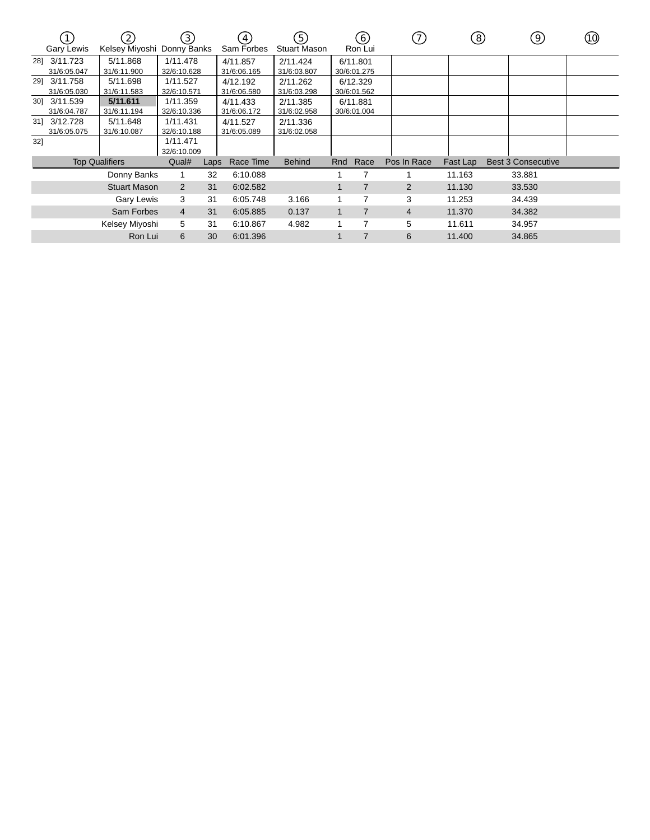|     | <b>Gary Lewis</b>           | (2)<br>Kelsey Miyoshi   | $\left(3\right)$<br>Donny Banks |      | 4)<br>Sam Forbes        | (5)<br><b>Stuart Mason</b> |     | (6)<br>Ron Lui          | (7)            | $\left(8\right)$ | (9)                       | (10) |
|-----|-----------------------------|-------------------------|---------------------------------|------|-------------------------|----------------------------|-----|-------------------------|----------------|------------------|---------------------------|------|
|     | 28] 3/11.723<br>31/6:05.047 | 5/11.868<br>31/6:11.900 | 1/11.478<br>32/6:10.628         |      | 4/11.857<br>31/6:06.165 | 2/11.424<br>31/6:03.807    |     | 6/11.801<br>30/6:01.275 |                |                  |                           |      |
|     | 29] 3/11.758<br>31/6:05.030 | 5/11.698<br>31/6:11.583 | 1/11.527<br>32/6:10.571         |      | 4/12.192<br>31/6:06.580 | 2/11.262<br>31/6:03.298    |     | 6/12.329<br>30/6:01.562 |                |                  |                           |      |
|     | 30] 3/11.539<br>31/6:04.787 | 5/11.611<br>31/6:11.194 | 1/11.359<br>32/6:10.336         |      | 4/11.433<br>31/6:06.172 | 2/11.385<br>31/6:02.958    |     | 6/11.881<br>30/6:01.004 |                |                  |                           |      |
|     | 31] 3/12.728<br>31/6:05.075 | 5/11.648<br>31/6:10.087 | 1/11.431<br>32/6:10.188         |      | 4/11.527<br>31/6:05.089 | 2/11.336<br>31/6:02.058    |     |                         |                |                  |                           |      |
| 32] |                             |                         | 1/11.471<br>32/6:10.009         |      |                         |                            |     |                         |                |                  |                           |      |
|     |                             | <b>Top Qualifiers</b>   | Qual#                           | Laps | Race Time               | <b>Behind</b>              | Rnd | Race                    | Pos In Race    | Fast Lap         | <b>Best 3 Consecutive</b> |      |
|     |                             | Donny Banks             |                                 | 32   | 6:10.088                |                            |     |                         |                | 11.163           | 33.881                    |      |
|     |                             | <b>Stuart Mason</b>     | $\overline{2}$                  | 31   | 6:02.582                |                            |     | $\overline{7}$          | 2              | 11.130           | 33.530                    |      |
|     |                             | Gary Lewis              | 3                               | 31   | 6:05.748                | 3.166                      |     | 7                       | 3              | 11.253           | 34.439                    |      |
|     |                             | Sam Forbes              | $\overline{4}$                  | 31   | 6:05.885                | 0.137                      |     | $\overline{7}$          | $\overline{4}$ | 11.370           | 34.382                    |      |
|     |                             | Kelsey Miyoshi          | 5                               | 31   | 6:10.867                | 4.982                      |     | $\overline{7}$          | 5              | 11.611           | 34.957                    |      |
|     |                             | Ron Lui                 | 6                               | 30   | 6:01.396                |                            |     | $\overline{7}$          | 6              | 11.400           | 34.865                    |      |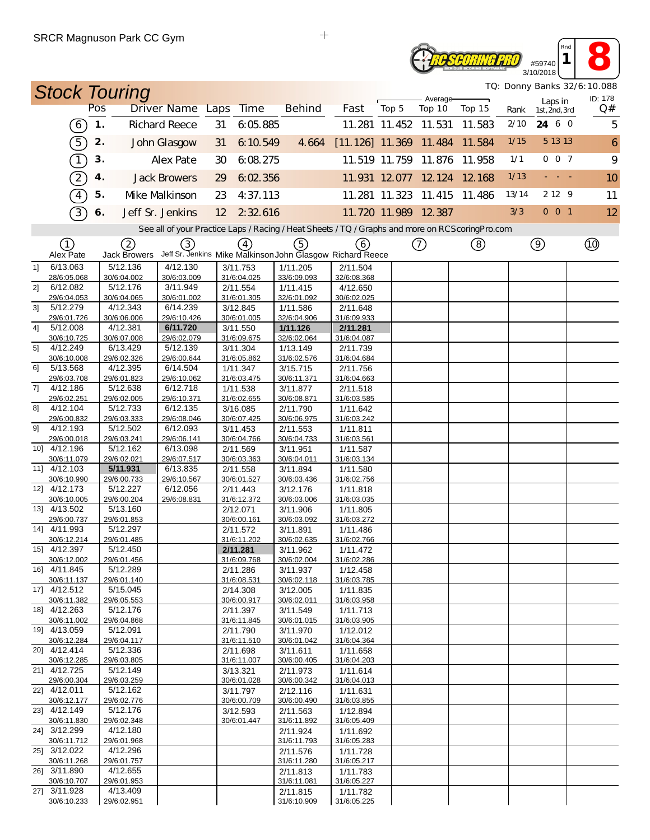## **RESCORING PRO** #59740

**1 8** 3/10/2018 *TQ: Donny Banks 32/6:10.088*

*Rnd*

| TQ: Donny Banks 32/6:10.088<br><b>Stock Touring</b> |                             |               |                          |                                                                                                   |    |                         |  |                         |                                                                        |                      |                             |        |       |                          |               |
|-----------------------------------------------------|-----------------------------|---------------|--------------------------|---------------------------------------------------------------------------------------------------|----|-------------------------|--|-------------------------|------------------------------------------------------------------------|----------------------|-----------------------------|--------|-------|--------------------------|---------------|
|                                                     |                             | Pos           |                          | Driver Name Laps                                                                                  |    | <b>Time</b>             |  | <b>Behind</b>           | Fast                                                                   | Top 5                | Average-<br>Top 10          | Top 15 | Rank  | Laps in<br>1st, 2nd, 3rd | ID: 178<br>Q# |
|                                                     | $\left(6\right)$            | $\mathbf 1$ . |                          | <b>Richard Reece</b>                                                                              | 31 | 6:05.885                |  |                         |                                                                        | 11.281 11.452 11.531 |                             | 11.583 | 2/10  | 24 6 0                   | 5             |
|                                                     | $\boxed{5}$                 | 2.            |                          | John Glasgow                                                                                      | 31 | 6:10.549                |  | 4.664                   | $[11.126]$ 11.369 11.484                                               |                      |                             | 11.584 | 1/15  | 5 13 13                  | 6             |
|                                                     | $\bigcap$                   | 3.            |                          | <b>Alex Pate</b>                                                                                  |    | 6:08.275                |  |                         |                                                                        |                      |                             |        | 1/1   | 0 0 7                    | 9             |
|                                                     |                             |               |                          |                                                                                                   | 30 |                         |  |                         |                                                                        |                      | 11.519 11.759 11.876        | 11.958 |       |                          |               |
|                                                     | $\widehat{2}$               | 4.            |                          | <b>Jack Browers</b>                                                                               | 29 | 6:02.356                |  |                         |                                                                        |                      | 11.931 12.077 12.124 12.168 |        | 1/13  |                          | 10            |
|                                                     | $\widehat{4}$               | 5.            |                          | Mke Malkinson                                                                                     | 23 | 4:37.113                |  |                         |                                                                        |                      | 11.281 11.323 11.415        | 11.486 | 13/14 | 2 12 9                   | 11            |
|                                                     | 3                           | 6.            |                          | Jeff Sr. Jenkins                                                                                  | 12 | 2 32 616                |  |                         |                                                                        |                      | 11.720 11.989 12.387        |        | 3/3   | $0$ 0 1                  | 12            |
|                                                     |                             |               |                          | See all of your Practice Laps / Racing / Heat Sheets / TQ / Graphs and more on RCS coring Pro.com |    |                         |  |                         |                                                                        |                      |                             |        |       |                          |               |
|                                                     | $\textcircled{\small{1}}$   |               | 2                        | ③                                                                                                 |    | (4)                     |  | (5)                     | (6)                                                                    |                      | $\circled{1}$               | (8)    |       | $\circledcirc$           |               |
| 1                                                   | Alex Pate<br>6/13.063       |               | Jack Browers<br>5/12.136 | 4/12.130                                                                                          |    | 3/11.753                |  | 1/11.205                | Jeff Sr. Jenkins Mike Malkinson John Glasgow Richard Reece<br>2/11.504 |                      |                             |        |       |                          |               |
|                                                     | 28/6:05.068                 |               | 30/6:04.002              | 30/6:03.009                                                                                       |    | 31/6:04.025             |  | 33/6:09.093             | 32/6:08.368                                                            |                      |                             |        |       |                          |               |
| 21                                                  | 6/12.082                    |               | 5/12.176                 | 3/11.949                                                                                          |    | 2/11.554                |  | 1/11.415                | 4/12.650                                                               |                      |                             |        |       |                          |               |
| 3 <sup>1</sup>                                      | 29/6:04.053<br>5/12.279     |               | 30/6:04.065<br>4/12.343  | 30/6:01.002<br>6/14.239                                                                           |    | 31/6:01.305             |  | 32/6:01.092             | 30/6:02.025                                                            |                      |                             |        |       |                          |               |
|                                                     | 29/6:01.726                 |               | 30/6:06.006              | 29/6:10.426                                                                                       |    | 3/12.845<br>30/6:01.005 |  | 1/11.586<br>32/6:04.906 | 2/11.648<br>31/6:09.933                                                |                      |                             |        |       |                          |               |
| 41                                                  | 5/12.008                    |               | 4/12.381                 | 6/11.720                                                                                          |    | 3/11.550                |  | 1/11.126                | 2/11.281                                                               |                      |                             |        |       |                          |               |
|                                                     | 30/6:10.725                 |               | 30/6:07.008              | 29/6:02.079                                                                                       |    | 31/6:09.675             |  | 32/6:02.064             | 31/6:04.087                                                            |                      |                             |        |       |                          |               |
| 5]                                                  | 4/12.249<br>30/6:10.008     |               | 6/13.429<br>29/6:02.326  | 5/12.139<br>29/6:00.644                                                                           |    | 3/11.304<br>31/6:05.862 |  | 1/13.149<br>31/6:02.576 | 2/11.739<br>31/6:04.684                                                |                      |                             |        |       |                          |               |
| 61                                                  | 5/13.568                    |               | 4/12.395                 | 6/14.504                                                                                          |    | 1/11.347                |  | 3/15.715                | 2/11.756                                                               |                      |                             |        |       |                          |               |
|                                                     | 29/6:03.708                 |               | 29/6:01.823              | 29/6:10.062                                                                                       |    | 31/6:03.475             |  | 30/6:11.371             | 31/6:04.663                                                            |                      |                             |        |       |                          |               |
| 71                                                  | 4/12.186<br>29/6:02.251     |               | 5/12.638<br>29/6:02.005  | 6/12.718<br>29/6:10.371                                                                           |    | 1/11.538<br>31/6:02.655 |  | 3/11.877<br>30/6:08.871 | 2/11.518<br>31/6:03.585                                                |                      |                             |        |       |                          |               |
| 8]                                                  | 4/12.104                    |               | 5/12.733                 | 6/12.135                                                                                          |    | 3/16.085                |  | 2/11.790                | 1/11.642                                                               |                      |                             |        |       |                          |               |
|                                                     | 29/6:00.832                 |               | 29/6:03.333              | 29/6:08.046                                                                                       |    | 30/6:07.425             |  | 30/6:06.975             | 31/6:03.242                                                            |                      |                             |        |       |                          |               |
| 91                                                  | 4/12.193                    |               | 5/12.502                 | 6/12.093                                                                                          |    | 3/11.453                |  | 2/11.553                | 1/11.811                                                               |                      |                             |        |       |                          |               |
|                                                     | 29/6:00.018<br>10] 4/12.196 |               | 29/6:03.241<br>5/12.162  | 29/6:06.141<br>6/13.098                                                                           |    | 30/6:04.766<br>2/11.569 |  | 30/6:04.733<br>3/11.951 | 31/6:03.561<br>1/11.587                                                |                      |                             |        |       |                          |               |
|                                                     | 30/6:11.079                 |               | 29/6:02.021              | 29/6:07.517                                                                                       |    | 30/6:03.363             |  | 30/6:04.011             | 31/6:03.134                                                            |                      |                             |        |       |                          |               |
|                                                     | 11] 4/12.103                |               | 5/11.931                 | 6/13.835                                                                                          |    | 2/11.558                |  | 3/11.894                | 1/11.580                                                               |                      |                             |        |       |                          |               |
|                                                     | 30/6:10.990<br>12] 4/12.173 |               | 29/6:00.733<br>5/12.227  | 29/6:10.567<br>6/12.056                                                                           |    | 30/6:01.527<br>2/11.443 |  | 30/6:03.436<br>3/12.176 | 31/6:02.756<br>1/11.818                                                |                      |                             |        |       |                          |               |
|                                                     | 30/6:10.005                 |               | 29/6:00.204              | 29/6:08.831                                                                                       |    | 31/6:12.372             |  | 30/6:03.006             | 31/6:03.035                                                            |                      |                             |        |       |                          |               |
|                                                     | 13] 4/13.502                |               | 5/13.160                 |                                                                                                   |    | 2/12.071                |  | 3/11.906                | 1/11.805                                                               |                      |                             |        |       |                          |               |
|                                                     | 29/6:00.737                 |               | 29/6:01.853              |                                                                                                   |    | 30/6:00.161             |  | 30/6:03.092             | 31/6:03.272                                                            |                      |                             |        |       |                          |               |
|                                                     | 14] 4/11.993<br>30/6:12.214 |               | 5/12.297<br>29/6:01.485  |                                                                                                   |    | 2/11.572<br>31/6:11.202 |  | 3/11.891<br>30/6:02.635 | 1/11.486<br>31/6:02.766                                                |                      |                             |        |       |                          |               |
|                                                     | 15] 4/12.397                |               | 5/12.450                 |                                                                                                   |    | 2/11.281                |  | 3/11.962                | 1/11.472                                                               |                      |                             |        |       |                          |               |
|                                                     | 30/6:12.002                 |               | 29/6:01.456              |                                                                                                   |    | 31/6:09.768             |  | 30/6:02.004             | 31/6:02.286                                                            |                      |                             |        |       |                          |               |
|                                                     | 16] 4/11.845<br>30/6:11.137 |               | 5/12.289<br>29/6:01.140  |                                                                                                   |    | 2/11.286<br>31/6:08.531 |  | 3/11.937<br>30/6:02.118 | 1/12.458<br>31/6:03.785                                                |                      |                             |        |       |                          |               |
|                                                     | 17] 4/12.512                |               | 5/15.045                 |                                                                                                   |    | 2/14.308                |  | 3/12.005                | 1/11.835                                                               |                      |                             |        |       |                          |               |
|                                                     | 30/6:11.382                 |               | 29/6:05.553              |                                                                                                   |    | 30/6:00.917             |  | 30/6:02.011             | 31/6:03.958                                                            |                      |                             |        |       |                          |               |
|                                                     | 18] 4/12.263<br>30/6:11.002 |               | 5/12.176<br>29/6:04.868  |                                                                                                   |    | 2/11.397<br>31/6:11.845 |  | 3/11.549<br>30/6:01.015 | 1/11.713<br>31/6:03.905                                                |                      |                             |        |       |                          |               |
|                                                     | 19] 4/13.059                |               | 5/12.091                 |                                                                                                   |    | 2/11.790                |  | 3/11.970                | 1/12.012                                                               |                      |                             |        |       |                          |               |
|                                                     | 30/6:12.284                 |               | 29/6:04.117              |                                                                                                   |    | 31/6:11.510             |  | 30/6:01.042             | 31/6:04.364                                                            |                      |                             |        |       |                          |               |
|                                                     | 20] 4/12.414<br>30/6:12.285 |               | 5/12.336<br>29/6:03.805  |                                                                                                   |    | 2/11.698<br>31/6:11.007 |  | 3/11.611<br>30/6:00.405 | 1/11.658                                                               |                      |                             |        |       |                          |               |
|                                                     | 21] 4/12.725                |               | 5/12.149                 |                                                                                                   |    | 3/13.321                |  | 2/11.973                | 31/6:04.203<br>1/11.614                                                |                      |                             |        |       |                          |               |
|                                                     | 29/6:00.304                 |               | 29/6:03.259              |                                                                                                   |    | 30/6:01.028             |  | 30/6:00.342             | 31/6:04.013                                                            |                      |                             |        |       |                          |               |
|                                                     | 22] 4/12.011                |               | 5/12.162                 |                                                                                                   |    | 3/11.797                |  | 2/12.116                | 1/11.631                                                               |                      |                             |        |       |                          |               |
|                                                     | 30/6:12.177<br>23] 4/12.149 |               | 29/6:02.776<br>5/12.176  |                                                                                                   |    | 30/6:00.709<br>3/12.593 |  | 30/6:00.490<br>2/11.563 | 31/6:03.855<br>1/12.894                                                |                      |                             |        |       |                          |               |
|                                                     | 30/6:11.830                 |               | 29/6:02.348              |                                                                                                   |    | 30/6:01.447             |  | 31/6:11.892             | 31/6:05.409                                                            |                      |                             |        |       |                          |               |
|                                                     | 24] 3/12.299                |               | 4/12.180                 |                                                                                                   |    |                         |  | 2/11.924                | 1/11.692                                                               |                      |                             |        |       |                          |               |
|                                                     | 30/6:11.712<br>25] 3/12.022 |               | 29/6:01.968<br>4/12.296  |                                                                                                   |    |                         |  | 31/6:11.793<br>2/11.576 | 31/6:05.283<br>1/11.728                                                |                      |                             |        |       |                          |               |
|                                                     | 30/6:11.268                 |               | 29/6:01.757              |                                                                                                   |    |                         |  | 31/6:11.280             | 31/6:05.217                                                            |                      |                             |        |       |                          |               |
|                                                     | 26] 3/11.890                |               | 4/12.655                 |                                                                                                   |    |                         |  | 2/11.813                | 1/11.783                                                               |                      |                             |        |       |                          |               |
|                                                     | 30/6:10.707<br>27] 3/11.928 |               | 29/6:01.953<br>4/13.409  |                                                                                                   |    |                         |  | 31/6:11.081<br>2/11.815 | 31/6:05.227<br>1/11.782                                                |                      |                             |        |       |                          |               |
|                                                     | 30/6:10.233                 |               | 29/6:02.951              |                                                                                                   |    |                         |  | 31/6:10.909             | 31/6:05.225                                                            |                      |                             |        |       |                          |               |

 $\qquad \qquad +$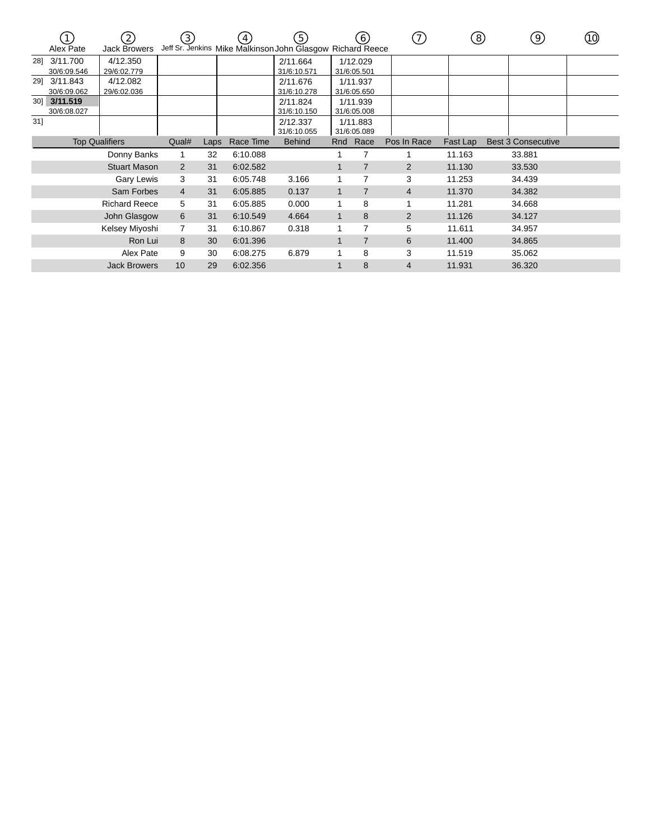| (2)<br><b>Jack Browers</b><br>Alex Pate |                         | (3)                     |      | $\mathbf{4}$ | (5)<br>Jeff Sr. Jenkins Mike Malkinson John Glasgow Richard Reece |                         | (6)            | (7)                     | (8)      | 9)                        | (10)   |  |
|-----------------------------------------|-------------------------|-------------------------|------|--------------|-------------------------------------------------------------------|-------------------------|----------------|-------------------------|----------|---------------------------|--------|--|
| 281                                     | 3/11.700<br>30/6:09.546 | 4/12.350<br>29/6:02.779 |      |              |                                                                   | 2/11.664<br>31/6:10.571 |                | 1/12.029<br>31/6:05.501 |          |                           |        |  |
| 291                                     | 3/11.843<br>30/6:09.062 | 4/12.082<br>29/6:02.036 |      |              |                                                                   | 2/11.676<br>31/6:10.278 |                | 1/11.937<br>31/6:05.650 |          |                           |        |  |
| $30$ ]                                  | 3/11.519<br>30/6:08.027 |                         |      |              |                                                                   | 2/11.824<br>31/6:10.150 |                | 1/11.939<br>31/6:05.008 |          |                           |        |  |
| 31]                                     |                         |                         |      |              |                                                                   | 2/12.337<br>31/6:10.055 |                | 1/11.883<br>31/6:05.089 |          |                           |        |  |
| <b>Top Qualifiers</b>                   |                         | Qual#                   | Laps | Race Time    | <b>Behind</b>                                                     |                         | Rnd Race       | Pos In Race             | Fast Lap | <b>Best 3 Consecutive</b> |        |  |
| Donny Banks                             |                         |                         | 32   | 6:10.088     |                                                                   |                         |                |                         | 11.163   | 33.881                    |        |  |
| <b>Stuart Mason</b>                     |                         | 2                       | 31   | 6:02.582     |                                                                   |                         | $\overline{7}$ | $\overline{2}$          | 11.130   | 33.530                    |        |  |
|                                         |                         | Gary Lewis              | 3    | 31           | 6:05.748                                                          | 3.166                   |                | $\overline{7}$          | 3        | 11.253                    | 34.439 |  |
|                                         |                         | Sam Forbes              | 4    | 31           | 6:05.885                                                          | 0.137                   | 1              | $\overline{7}$          | 4        | 11.370                    | 34.382 |  |
|                                         |                         | <b>Richard Reece</b>    | 5    | 31           | 6:05.885                                                          | 0.000                   |                | 8                       |          | 11.281                    | 34.668 |  |
| John Glasgow                            |                         | 6                       | 31   | 6:10.549     | 4.664                                                             | 1                       | 8              | 2                       | 11.126   | 34.127                    |        |  |
| Kelsey Miyoshi                          |                         |                         | 7    | 31           | 6:10.867                                                          | 0.318                   |                | 7                       | 5        | 11.611                    | 34.957 |  |
| Ron Lui                                 |                         |                         | 8    | 30           | 6:01.396                                                          |                         |                | $\overline{7}$          | 6        | 11.400                    | 34.865 |  |
| Alex Pate                               |                         |                         | 9    | 30           | 6:08.275                                                          | 6.879                   |                | 8                       | 3        | 11.519                    | 35.062 |  |
| <b>Jack Browers</b>                     |                         |                         | 10   | 29           | 6:02.356                                                          |                         |                | 8                       | 4        | 11.931                    | 36.320 |  |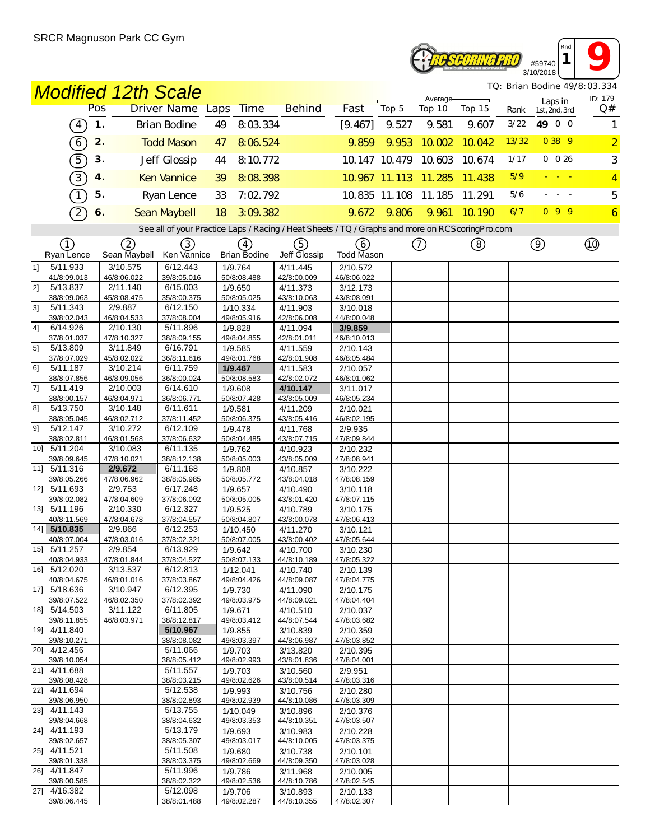### **ROSCORING PRO** #59740 3/10/2018

*TQ: Brian Bodine 49/8:03.334*

*Rnd* **1 9** 

| TQ: Brian Bodine 49/8:03.334<br><b>Modified 12th Scale</b> |                             |                         |                                |                                                                                                   |                                |                         |                      |                      |        |       |                          |                |
|------------------------------------------------------------|-----------------------------|-------------------------|--------------------------------|---------------------------------------------------------------------------------------------------|--------------------------------|-------------------------|----------------------|----------------------|--------|-------|--------------------------|----------------|
|                                                            |                             | Pos                     | Driver Name Laps               | <b>Time</b>                                                                                       | <b>Behind</b>                  | Fast                    | Top 5                | Average-<br>Top 10   | Top 15 | Rank  | Laps in<br>1st, 2nd, 3rd | ID: 179<br>Q#  |
|                                                            | $\left( 4\right)$           | 1.                      | <b>Brian Bodine</b>            | 8:03.334<br>49                                                                                    |                                | [9.467]                 | 9.527                | 9.581                | 9.607  | 3/22  | 49 0 0                   | 1              |
|                                                            | $\overline{6}$              | 2.                      | <b>Todd Mason</b>              | 47<br>8:06.524                                                                                    |                                | 9.859                   | 9.953                | 10.002               | 10.042 | 13/32 | 0 38 9                   | $\overline{2}$ |
|                                                            |                             |                         |                                |                                                                                                   |                                |                         |                      |                      |        | 1/17  | 0 0 26                   |                |
|                                                            | 5                           | 3.                      | Jeff Glossip                   | 8:10.772<br>44                                                                                    |                                |                         |                      | 10.147 10.479 10.603 | 10.674 |       |                          | 3              |
|                                                            | $\boxed{3}$                 | 4.                      | <b>Ken Vannice</b>             | 8:08.398<br>39                                                                                    |                                |                         | 10.967 11.113 11.285 |                      | 11.438 | 5/9   |                          | $\overline{4}$ |
|                                                            | $\overline{1}$              | 5.                      | Ryan Lence                     | 7:02.792<br>33                                                                                    |                                |                         |                      | 10.835 11.108 11.185 | 11.291 | 5/6   |                          | 5              |
|                                                            | $\mathcal{D}$               | 6.                      | Sean Maybell                   | 3:09.382<br>18                                                                                    |                                | 9.672                   | 9.806                | 9.961                | 10.190 | 6/7   | 099                      | $\overline{6}$ |
|                                                            |                             |                         |                                | See all of your Practice Laps / Racing / Heat Sheets / TQ / Graphs and more on RCS coring Pro.com |                                |                         |                      |                      |        |       |                          |                |
|                                                            | (1)                         | (2)                     | ③                              | $\left(4\right)$                                                                                  | ⑤                              | 6                       |                      | ⊙                    | ☺      |       | $\circledcirc$           |                |
|                                                            | Ryan Lence                  | Sean Maybell            | Ken Vannice<br>6/12.443        | <b>Brian Bodine</b>                                                                               | Jeff Glossip                   | Todd Mason              |                      |                      |        |       |                          |                |
| 1                                                          | 5/11.933<br>41/8:09.013     | 3/10.575<br>46/8:06.022 | 39/8:05.016                    | 1/9.764<br>50/8:08.488                                                                            | 4/11.445<br>42/8:00.009        | 2/10.572<br>46/8:06.022 |                      |                      |        |       |                          |                |
| 21                                                         | 5/13.837                    | 2/11.140                | 6/15.003                       | 1/9.650                                                                                           | 4/11.373                       | 3/12.173                |                      |                      |        |       |                          |                |
| 3 <sup>1</sup>                                             | 38/8:09.063<br>5/11.343     | 45/8:08.475<br>2/9.887  | 35/8:00.375<br>6/12.150        | 50/8:05.025<br>1/10.334                                                                           | 43/8:10.063<br>4/11.903        | 43/8:08.091<br>3/10.018 |                      |                      |        |       |                          |                |
|                                                            | 39/8:02.043                 | 46/8:04.533             | 37/8:08.004                    | 49/8:05.916                                                                                       | 42/8:06.008                    | 44/8:00.048             |                      |                      |        |       |                          |                |
| 4]                                                         | 6/14.926                    | 2/10.130                | 5/11.896                       | 1/9.828                                                                                           | 4/11.094                       | 3/9.859                 |                      |                      |        |       |                          |                |
| 5]                                                         | 37/8:01.037<br>5/13.809     | 47/8:10.327<br>3/11.849 | 38/8:09.155<br>6/16.791        | 49/8:04.855<br>1/9.585                                                                            | 42/8:01.011                    | 46/8:10.013             |                      |                      |        |       |                          |                |
|                                                            | 37/8:07.029                 | 45/8:02.022             | 36/8:11.616                    | 49/8:01.768                                                                                       | 4/11.559<br>42/8:01.908        | 2/10.143<br>46/8:05.484 |                      |                      |        |       |                          |                |
| 61                                                         | 5/11.187                    | 3/10.214                | 6/11.759                       | 1/9.467                                                                                           | 4/11.583                       | 2/10.057                |                      |                      |        |       |                          |                |
|                                                            | 38/8:07.856                 | 46/8:09.056             | 36/8:00.024                    | 50/8:08.583                                                                                       | 42/8:02.072                    | 46/8:01.062             |                      |                      |        |       |                          |                |
| 71                                                         | 5/11.419<br>38/8:00.157     | 2/10.003<br>46/8:04.971 | 6/14.610<br>36/8:06.771        | 1/9.608<br>50/8:07.428                                                                            | 4/10.147<br>43/8:05.009        | 3/11.017<br>46/8:05.234 |                      |                      |        |       |                          |                |
| 81                                                         | 5/13.750                    | 3/10.148                | 6/11.611                       | 1/9.581                                                                                           | 4/11.209                       | 2/10.021                |                      |                      |        |       |                          |                |
|                                                            | 38/8:05.045                 | 46/8:02.712             | 37/8:11.452                    | 50/8:06.375                                                                                       | 43/8:05.416                    | 46/8:02.195             |                      |                      |        |       |                          |                |
| 91                                                         | 5/12.147<br>38/8:02.811     | 3/10.272<br>46/8:01.568 | 6/12.109<br>37/8:06.632        | 1/9.478<br>50/8:04.485                                                                            | 4/11.768<br>43/8:07.715        | 2/9.935<br>47/8:09.844  |                      |                      |        |       |                          |                |
| 10]                                                        | 5/11.204                    | 3/10.083                | 6/11.135                       | 1/9.762                                                                                           | 4/10.923                       | 2/10.232                |                      |                      |        |       |                          |                |
|                                                            | 39/8:09.645                 | 47/8:10.021             | 38/8:12.138                    | 50/8:05.003                                                                                       | 43/8:05.009                    | 47/8:08.941             |                      |                      |        |       |                          |                |
|                                                            | 11] 5/11.316<br>39/8:05.266 | 2/9.672<br>47/8:06.962  | 6/11.168<br>38/8:05.985        | 1/9.808<br>50/8:05.772                                                                            | 4/10.857<br>43/8:04.018        | 3/10.222<br>47/8:08.159 |                      |                      |        |       |                          |                |
|                                                            | 12] 5/11.693                | 2/9.753                 | 6/17.248                       | 1/9.657                                                                                           | 4/10.490                       | 3/10.118                |                      |                      |        |       |                          |                |
|                                                            | 39/8:02.082                 | 47/8:04.609             | 37/8:06.092                    | 50/8:05.005                                                                                       | 43/8:01.420                    | 47/8:07.115             |                      |                      |        |       |                          |                |
|                                                            | 13] 5/11.196<br>40/8:11.569 | 2/10.330<br>47/8:04.678 | 6/12.327<br>37/8:04.557        | 1/9.525<br>50/8:04.807                                                                            | 4/10.789<br>43/8:00.078        | 3/10.175<br>47/8:06.413 |                      |                      |        |       |                          |                |
|                                                            | 14] 5/10.835                | 2/9.866                 | 6/12.253                       | 1/10.450                                                                                          | 4/11.270                       | 3/10.121                |                      |                      |        |       |                          |                |
|                                                            | 40/8:07.004                 | 47/8:03.016             | 37/8:02.321                    | 50/8:07.005                                                                                       | 43/8:00.402                    | 47/8:05.644             |                      |                      |        |       |                          |                |
|                                                            | 15] 5/11.257                | 2/9.854                 | 6/13.929                       | 1/9.642                                                                                           | 4/10.700                       | 3/10.230                |                      |                      |        |       |                          |                |
|                                                            | 40/8:04.933<br>16] 5/12.020 | 47/8:01.844<br>3/13.537 | <u>37/8:04.527</u><br>6/12.813 | 50/8:07.133<br>1/12.041                                                                           | <u>44/8:10.189</u><br>4/10.740 | 47/8:05.322<br>2/10.139 |                      |                      |        |       |                          |                |
|                                                            | 40/8:04.675                 | 46/8:01.016             | 37/8:03.867                    | 49/8:04.426                                                                                       | 44/8:09.087                    | 47/8:04.775             |                      |                      |        |       |                          |                |
|                                                            | 17] 5/18.636                | 3/10.947<br>46/8:02.350 | 6/12.395<br>37/8:02.392        | 1/9.730<br>49/8:03.975                                                                            | 4/11.090<br>44/8:09.021        | 2/10.175                |                      |                      |        |       |                          |                |
|                                                            | 39/8:07.522<br>18] 5/14.503 | 3/11.122                | 6/11.805                       | 1/9.671                                                                                           | 4/10.510                       | 47/8:04.404<br>2/10.037 |                      |                      |        |       |                          |                |
|                                                            | 39/8:11.855                 | 46/8:03.971             | 38/8:12.817                    | 49/8:03.412                                                                                       | 44/8:07.544                    | 47/8:03.682             |                      |                      |        |       |                          |                |
|                                                            | 19] 4/11.840<br>39/8:10.271 |                         | 5/10.967                       | 1/9.855                                                                                           | 3/10.839                       | 2/10.359                |                      |                      |        |       |                          |                |
|                                                            | 20] 4/12.456                |                         | 38/8:08.082<br>5/11.066        | 49/8:03.397<br>1/9.703                                                                            | 44/8:06.987<br>3/13.820        | 47/8:03.852<br>2/10.395 |                      |                      |        |       |                          |                |
|                                                            | 39/8:10.054                 |                         | 38/8:05.412                    | 49/8:02.993                                                                                       | 43/8:01.836                    | 47/8:04.001             |                      |                      |        |       |                          |                |
|                                                            | 21] 4/11.688                |                         | 5/11.557                       | 1/9.703                                                                                           | 3/10.560                       | 2/9.951                 |                      |                      |        |       |                          |                |
|                                                            | 39/8:08.428<br>22] 4/11.694 |                         | 38/8:03.215<br>5/12.538        | 49/8:02.626<br>1/9.993                                                                            | 43/8:00.514<br>3/10.756        | 47/8:03.316<br>2/10.280 |                      |                      |        |       |                          |                |
|                                                            | 39/8:06.950                 |                         | 38/8:02.893                    | 49/8:02.939                                                                                       | 44/8:10.086                    | 47/8:03.309             |                      |                      |        |       |                          |                |
|                                                            | 23 4/11.143                 |                         | 5/13.755                       | 1/10.049                                                                                          | 3/10.896                       | 2/10.376                |                      |                      |        |       |                          |                |
|                                                            | 39/8:04.668<br>24] 4/11.193 |                         | 38/8:04.632<br>5/13.179        | 49/8:03.353<br>1/9.693                                                                            | 44/8:10.351<br>3/10.983        | 47/8:03.507<br>2/10.228 |                      |                      |        |       |                          |                |
|                                                            | 39/8:02.657                 |                         | 38/8:05.307                    | 49/8:03.017                                                                                       | 44/8:10.005                    | 47/8:03.375             |                      |                      |        |       |                          |                |
|                                                            | 25] 4/11.521                |                         | 5/11.508                       | 1/9.680                                                                                           | 3/10.738                       | 2/10.101                |                      |                      |        |       |                          |                |
|                                                            | 39/8:01.338<br>26] 4/11.847 |                         | 38/8:03.375<br>5/11.996        | 49/8:02.669<br>1/9.786                                                                            | 44/8:09.350<br>3/11.968        | 47/8:03.028<br>2/10.005 |                      |                      |        |       |                          |                |
|                                                            | 39/8:00.585                 |                         | 38/8:02.322                    | 49/8:02.536                                                                                       | 44/8:10.786                    | 47/8:02.545             |                      |                      |        |       |                          |                |
|                                                            | 27] 4/16.382                |                         | 5/12.098                       | 1/9.706                                                                                           | 3/10.893                       | 2/10.133                |                      |                      |        |       |                          |                |
|                                                            | 39/8:06.445                 |                         | 38/8:01.488                    | 49/8:02.287                                                                                       | 44/8:10.355                    | 47/8:02.307             |                      |                      |        |       |                          |                |

 $\ddot{+}$